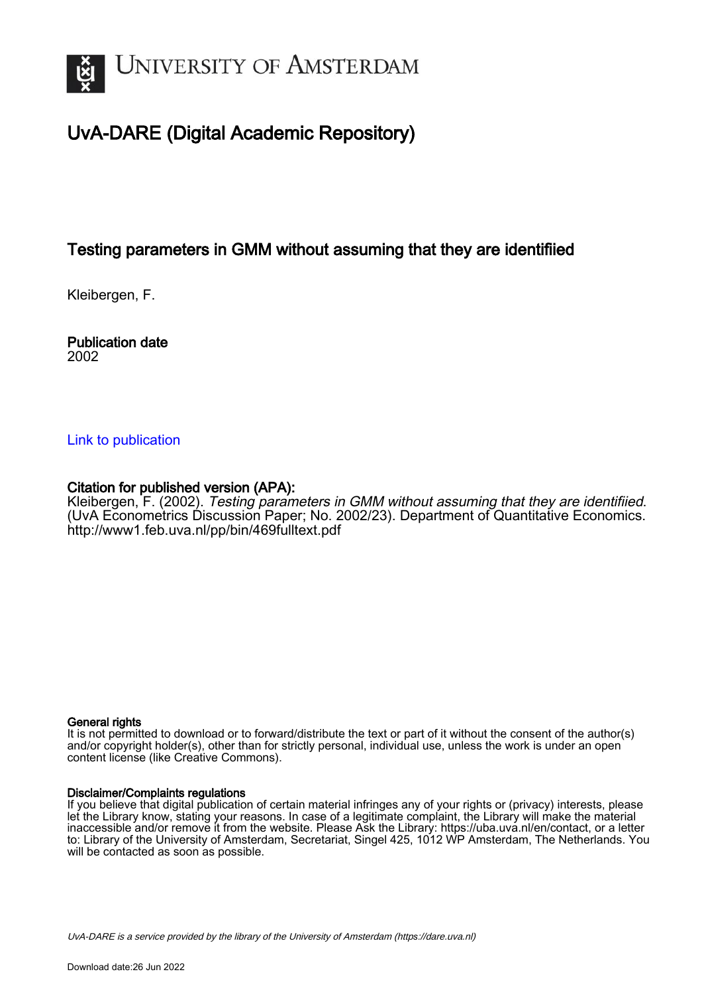

## UvA-DARE (Digital Academic Repository)

## Testing parameters in GMM without assuming that they are identifiied

Kleibergen, F.

Publication date 2002

## [Link to publication](https://dare.uva.nl/personal/pure/en/publications/testing-parameters-in-gmm-without-assuming-that-they-are-identifiied(f536e149-1c39-44d0-948e-08fda860bca3).html)

## Citation for published version (APA):

Kleibergen, F. (2002). Testing parameters in GMM without assuming that they are identifiied. (UvA Econometrics Discussion Paper; No. 2002/23). Department of Quantitative Economics. <http://www1.feb.uva.nl/pp/bin/469fulltext.pdf>

### General rights

It is not permitted to download or to forward/distribute the text or part of it without the consent of the author(s) and/or copyright holder(s), other than for strictly personal, individual use, unless the work is under an open content license (like Creative Commons).

### Disclaimer/Complaints regulations

If you believe that digital publication of certain material infringes any of your rights or (privacy) interests, please let the Library know, stating your reasons. In case of a legitimate complaint, the Library will make the material inaccessible and/or remove it from the website. Please Ask the Library: https://uba.uva.nl/en/contact, or a letter to: Library of the University of Amsterdam, Secretariat, Singel 425, 1012 WP Amsterdam, The Netherlands. You will be contacted as soon as possible.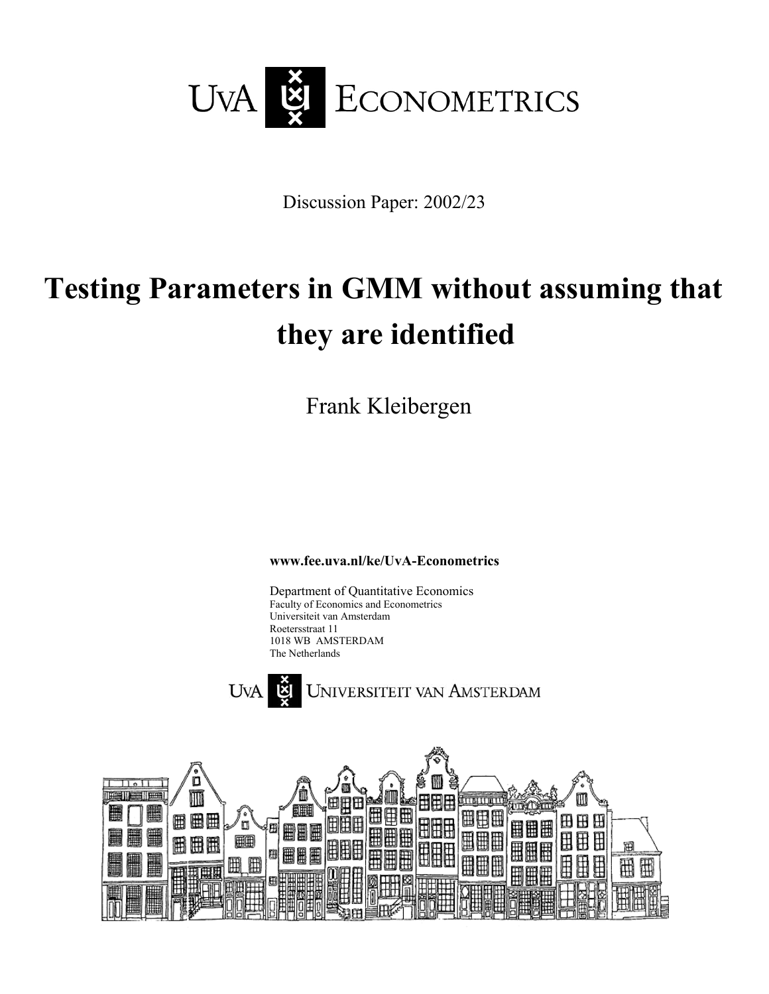

Discussion Paper: 2002/23

# **Testing Parameters in GMM without assuming that they are identified**

Frank Kleibergen

**www.fee.uva.nl/ke/UvA-Econometrics** 

Department of Quantitative Economics Faculty of Economics and Econometrics Universiteit van Amsterdam Roetersstraat 11 1018 WB AMSTERDAM The Netherlands



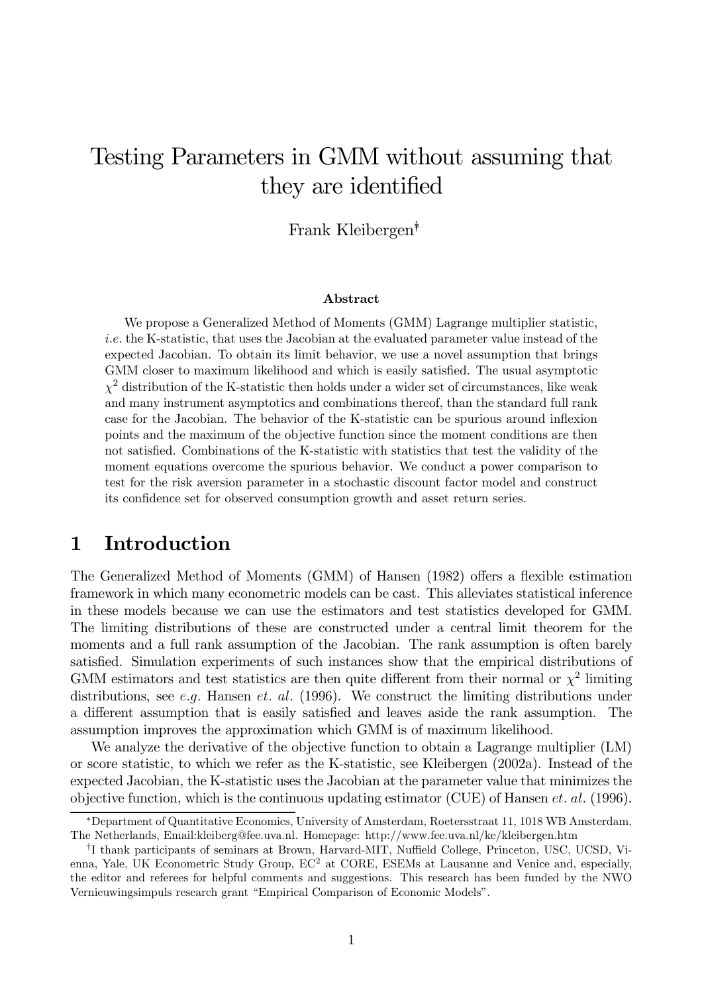## Testing Parameters in GMM without assuming that they are identified

Frank Kleibergen<sup>\*</sup>

### Abstract

We propose a Generalized Method of Moments (GMM) Lagrange multiplier statistic, *i.e.* the K-statistic, that uses the Jacobian at the evaluated parameter value instead of the expected Jacobian. To obtain its limit behavior, we use a novel assumption that brings GMM closer to maximum likelihood and which is easily satisfied. The usual asymptotic  $\chi^2$  distribution of the K-statistic then holds under a wider set of circumstances, like weak and many instrument asymptotics and combinations thereof, than the standard full rank case for the Jacobian. The behavior of the K-statistic can be spurious around inflexion points and the maximum of the objective function since the moment conditions are then not satisfied. Combinations of the K-statistic with statistics that test the validity of the moment equations overcome the spurious behavior. We conduct a power comparison to test for the risk aversion parameter in a stochastic discount factor model and construct its confidence set for observed consumption growth and asset return series.

#### Introduction  $\mathbf{1}$

The Generalized Method of Moments (GMM) of Hansen (1982) offers a flexible estimation framework in which many econometric models can be cast. This alleviates statistical inference in these models because we can use the estimators and test statistics developed for GMM. The limiting distributions of these are constructed under a central limit theorem for the moments and a full rank assumption of the Jacobian. The rank assumption is often barely satisfied. Simulation experiments of such instances show that the empirical distributions of GMM estimators and test statistics are then quite different from their normal or  $\chi^2$  limiting distributions, see e.g. Hansen et. al. (1996). We construct the limiting distributions under a different assumption that is easily satisfied and leaves aside the rank assumption. The assumption improves the approximation which GMM is of maximum likelihood.

We analyze the derivative of the objective function to obtain a Lagrange multiplier (LM) or score statistic, to which we refer as the K-statistic, see Kleibergen (2002a). Instead of the expected Jacobian, the K-statistic uses the Jacobian at the parameter value that minimizes the objective function, which is the continuous updating estimator (CUE) of Hansen *et. al.* (1996).

<sup>\*</sup>Department of Quantitative Economics, University of Amsterdam, Roetersstraat 11, 1018 WB Amsterdam, The Netherlands, Email:kleiberg@fee.uva.nl. Homepage: http://www.fee.uva.nl/ke/kleibergen.htm

<sup>&</sup>lt;sup>†</sup>I thank participants of seminars at Brown, Harvard-MIT, Nuffield College, Princeton, USC, UCSD, Vienna, Yale, UK Econometric Study Group, EC<sup>2</sup> at CORE, ESEMs at Lausanne and Venice and, especially, the editor and referees for helpful comments and suggestions. This research has been funded by the NWO Vernieuwingsimpuls research grant "Empirical Comparison of Economic Models".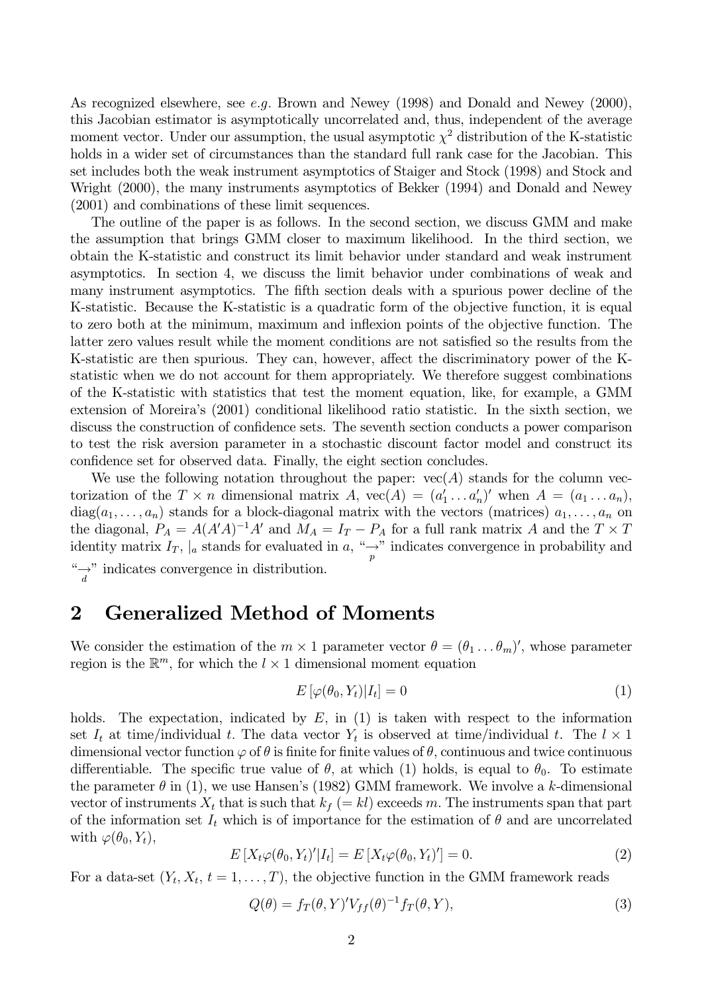As recognized elsewhere, see e.g. Brown and Newey (1998) and Donald and Newey (2000), this Jacobian estimator is asymptotically uncorrelated and, thus, independent of the average moment vector. Under our assumption, the usual asymptotic  $\chi^2$  distribution of the K-statistic holds in a wider set of circumstances than the standard full rank case for the Jacobian. This set includes both the weak instrument asymptotics of Staiger and Stock (1998) and Stock and Wright (2000), the many instruments asymptotics of Bekker (1994) and Donald and Newey  $(2001)$  and combinations of these limit sequences.

The outline of the paper is as follows. In the second section, we discuss GMM and make the assumption that brings GMM closer to maximum likelihood. In the third section, we obtain the K-statistic and construct its limit behavior under standard and weak instrument asymptotics. In section 4, we discuss the limit behavior under combinations of weak and many instrument asymptotics. The fifth section deals with a spurious power decline of the K-statistic. Because the K-statistic is a quadratic form of the objective function, it is equal to zero both at the minimum, maximum and inflexion points of the objective function. The latter zero values result while the moment conditions are not satisfied so the results from the K-statistic are then spurious. They can, however, affect the discriminatory power of the Kstatistic when we do not account for them appropriately. We therefore suggest combinations of the K-statistic with statistics that test the moment equation, like, for example, a GMM extension of Moreira's (2001) conditional likelihood ratio statistic. In the sixth section, we discuss the construction of confidence sets. The seventh section conducts a power comparison to test the risk aversion parameter in a stochastic discount factor model and construct its confidence set for observed data. Finally, the eight section concludes.

We use the following notation throughout the paper:  $vec(A)$  stands for the column vectorization of the  $T \times n$  dimensional matrix A,  $\text{vec}(A) = (a'_1 \dots a'_n)'$  when  $A = (a_1 \dots a_n)$ ,  $diag(a_1, \ldots, a_n)$  stands for a block-diagonal matrix with the vectors (matrices)  $a_1, \ldots, a_n$  on the diagonal,  $P_A = A(A'A)^{-1}A'$  and  $M_A = I_T - P_A$  for a full rank matrix A and the  $T \times T$ identity matrix  $I_T$ , |a stands for evaluated in a, "
indicates convergence in probability and " $\rightarrow$ " indicates convergence in distribution.

#### **Generalized Method of Moments**  $\overline{2}$

We consider the estimation of the  $m \times 1$  parameter vector  $\theta = (\theta_1 \dots \theta_m)'$ , whose parameter region is the  $\mathbb{R}^m$ , for which the  $l \times 1$  dimensional moment equation

$$
E\left[\varphi(\theta_0, Y_t)|I_t\right] = 0\tag{1}
$$

The expectation, indicated by  $E$ , in (1) is taken with respect to the information holds. set  $I_t$  at time/individual t. The data vector  $Y_t$  is observed at time/individual t. The  $l \times 1$ dimensional vector function  $\varphi$  of  $\theta$  is finite for finite values of  $\theta$ , continuous and twice continuous differentiable. The specific true value of  $\theta$ , at which (1) holds, is equal to  $\theta_0$ . To estimate the parameter  $\theta$  in (1), we use Hansen's (1982) GMM framework. We involve a k-dimensional vector of instruments  $X_t$  that is such that  $k_f (= kl)$  exceeds m. The instruments span that part of the information set  $I_t$  which is of importance for the estimation of  $\theta$  and are uncorrelated with  $\varphi(\theta_0, Y_t)$ ,

$$
E\left[X_t\varphi(\theta_0, Y_t)'|I_t\right] = E\left[X_t\varphi(\theta_0, Y_t)'\right] = 0.
$$
\n(2)

For a data-set  $(Y_t, X_t, t = 1, ..., T)$ , the objective function in the GMM framework reads

$$
Q(\theta) = f_T(\theta, Y)' V_{ff}(\theta)^{-1} f_T(\theta, Y), \qquad (3)
$$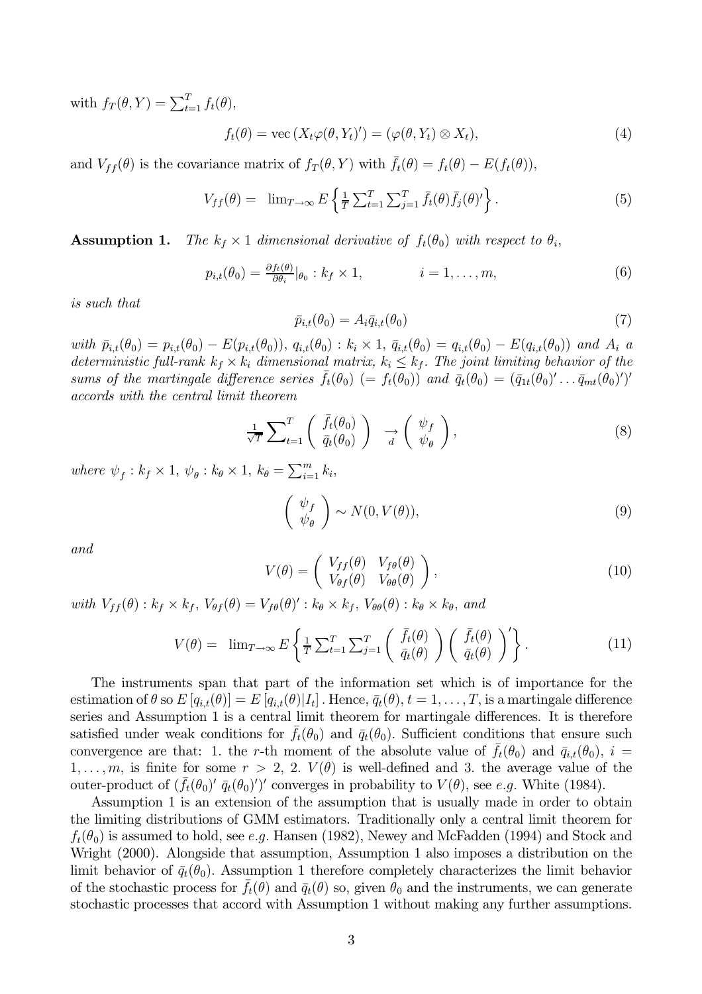with  $f_T(\theta, Y) = \sum_{t=1}^T f_t(\theta),$ 

$$
f_t(\theta) = \text{vec}(X_t \varphi(\theta, Y_t)') = (\varphi(\theta, Y_t) \otimes X_t),
$$
\n(4)

and  $V_{ff}(\theta)$  is the covariance matrix of  $f_T(\theta, Y)$  with  $\bar{f}_t(\theta) = f_t(\theta) - E(f_t(\theta)),$ 

$$
V_{ff}(\theta) = \lim_{T \to \infty} E \left\{ \frac{1}{T} \sum_{t=1}^{T} \sum_{j=1}^{T} \bar{f}_t(\theta) \bar{f}_j(\theta)^{\prime} \right\}.
$$
 (5)

**Assumption 1.** The  $k_f \times 1$  dimensional derivative of  $f_t(\theta_0)$  with respect to  $\theta_i$ .

$$
p_{i,t}(\theta_0) = \frac{\partial f_t(\theta)}{\partial \theta_i}|_{\theta_0} : k_f \times 1, \qquad i = 1, \dots, m,
$$
\n(6)

*is such that* 

$$
\bar{p}_{i,t}(\theta_0) = A_i \bar{q}_{i,t}(\theta_0) \tag{7}
$$

with  $\bar{p}_{i,t}(\theta_0) = p_{i,t}(\theta_0) - E(p_{i,t}(\theta_0)), q_{i,t}(\theta_0) : k_i \times 1, \bar{q}_{i,t}(\theta_0) = q_{i,t}(\theta_0) - E(q_{i,t}(\theta_0))$  and  $A_i$  a deterministic full-rank  $k_f \times k_i$  dimensional matrix,  $k_i \leq k_f$ . The joint limiting behavior of the sums of the martingale difference series  $\bar{f}_t(\theta_0)$  (=  $f_t(\theta_0)$ ) and  $\bar{q}_t(\theta_0) = (\bar{q}_{1t}(\theta_0)' \dots \bar{q}_{mt}(\theta_0)')'$ accords with the central limit theorem

$$
\frac{1}{\sqrt{T}} \sum_{t=1}^{T} \left( \begin{array}{c} \bar{f}_t(\theta_0) \\ \bar{q}_t(\theta_0) \end{array} \right) \quad \xrightarrow{d} \left( \begin{array}{c} \psi_f \\ \psi_\theta \end{array} \right), \tag{8}
$$

where  $\psi_f : k_f \times 1$ ,  $\psi_\theta : k_\theta \times 1$ ,  $k_\theta = \sum_{i=1}^m k_i$ ,

$$
\left(\begin{array}{c}\psi_f\\\psi_\theta\end{array}\right) \sim N(0, V(\theta)),\tag{9}
$$

and

$$
V(\theta) = \begin{pmatrix} V_{ff}(\theta) & V_{f\theta}(\theta) \\ V_{\theta f}(\theta) & V_{\theta \theta}(\theta) \end{pmatrix},
$$
\n(10)

with  $V_{ff}(\theta)$ :  $k_f \times k_f$ ,  $V_{\theta f}(\theta) = V_{f\theta}(\theta)'$ :  $k_{\theta} \times k_f$ ,  $V_{\theta\theta}(\theta)$ :  $k_{\theta} \times k_{\theta}$ , and

$$
V(\theta) = \lim_{T \to \infty} E\left\{ \frac{1}{T} \sum_{t=1}^{T} \sum_{j=1}^{T} \left( \frac{\bar{f}_t(\theta)}{\bar{q}_t(\theta)} \right) \left( \frac{\bar{f}_t(\theta)}{\bar{q}_t(\theta)} \right)' \right\}.
$$
 (11)

The instruments span that part of the information set which is of importance for the estimation of  $\theta$  so  $E[q_{i,t}(\theta)]=E[q_{i,t}(\theta)|I_t]$ . Hence,  $\bar{q}_t(\theta), t=1,\ldots,T$ , is a martingale difference series and Assumption 1 is a central limit theorem for martingale differences. It is therefore satisfied under weak conditions for  $f_t(\theta_0)$  and  $\bar{q}_t(\theta_0)$ . Sufficient conditions that ensure such convergence are that: 1. the r-th moment of the absolute value of  $f_t(\theta_0)$  and  $\bar{q}_{i,t}(\theta_0)$ ,  $i =$  $1,\ldots,m$ , is finite for some  $r > 2$ , 2.  $V(\theta)$  is well-defined and 3. the average value of the outer-product of  $(\bar{f}_t(\theta_0)^\prime \bar{q}_t(\theta_0)^\prime)^\prime$  converges in probability to  $V(\theta)$ , see e.g. White (1984).

Assumption 1 is an extension of the assumption that is usually made in order to obtain the limiting distributions of GMM estimators. Traditionally only a central limit theorem for  $f_t(\theta_0)$  is assumed to hold, see e.g. Hansen (1982), Newey and McFadden (1994) and Stock and Wright (2000). Alongside that assumption, Assumption 1 also imposes a distribution on the limit behavior of  $\bar{q}_t(\theta_0)$ . Assumption 1 therefore completely characterizes the limit behavior of the stochastic process for  $\bar{f}_t(\theta)$  and  $\bar{q}_t(\theta)$  so, given  $\theta_0$  and the instruments, we can generate stochastic processes that accord with Assumption 1 without making any further assumptions.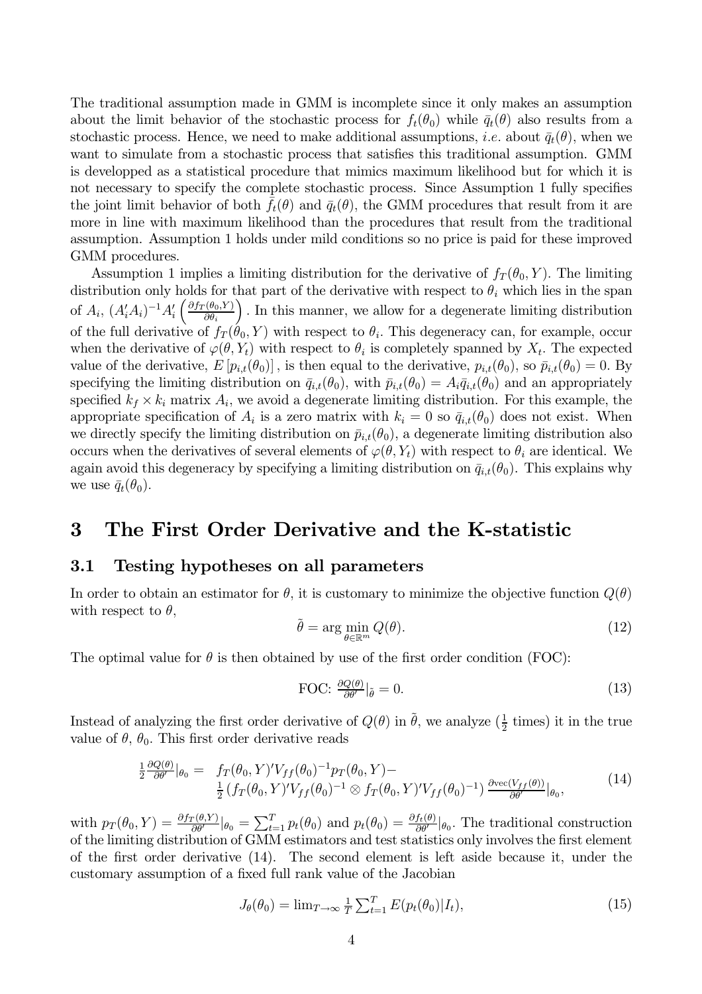The traditional assumption made in GMM is incomplete since it only makes an assumption about the limit behavior of the stochastic process for  $f_t(\theta_0)$  while  $\bar{q}_t(\theta)$  also results from a stochastic process. Hence, we need to make additional assumptions, *i.e.* about  $\bar{q}_t(\theta)$ , when we want to simulate from a stochastic process that satisfies this traditional assumption. GMM is developped as a statistical procedure that mimics maximum likelihood but for which it is not necessary to specify the complete stochastic process. Since Assumption 1 fully specifies the joint limit behavior of both  $f_t(\theta)$  and  $\bar{q}_t(\theta)$ , the GMM procedures that result from it are more in line with maximum likelihood than the procedures that result from the traditional assumption. Assumption 1 holds under mild conditions so no price is paid for these improved GMM procedures.

Assumption 1 implies a limiting distribution for the derivative of  $f_T(\theta_0, Y)$ . The limiting distribution only holds for that part of the derivative with respect to  $\theta_i$  which lies in the span of  $A_i$ ,  $(A'_iA_i)^{-1}A'_i\left(\frac{\partial f_T(\theta_0,Y)}{\partial \theta_i}\right)$ . In this manner, we allow for a degenerate limiting distribution of the full derivative of  $f_T(\hat{\theta}_0, Y)$  with respect to  $\theta_i$ . This degeneracy can, for example, occur when the derivative of  $\varphi(\theta, Y_t)$  with respect to  $\theta_i$  is completely spanned by  $X_t$ . The expected value of the derivative,  $E[p_{i,t}(\theta_0)]$ , is then equal to the derivative,  $p_{i,t}(\theta_0)$ , so  $\bar{p}_{i,t}(\theta_0) = 0$ . By specifying the limiting distribution on  $\bar{q}_{i,t}(\theta_0)$ , with  $\bar{p}_{i,t}(\theta_0) = A_i \bar{q}_{i,t}(\theta_0)$  and an appropriately specified  $k_f \times k_i$  matrix  $A_i$ , we avoid a degenerate limiting distribution. For this example, the appropriate specification of  $A_i$  is a zero matrix with  $k_i = 0$  so  $\bar{q}_{i,t}(\theta_0)$  does not exist. When we directly specify the limiting distribution on  $\bar{p}_{i,t}(\theta_0)$ , a degenerate limiting distribution also occurs when the derivatives of several elements of  $\varphi(\theta, Y_t)$  with respect to  $\theta_i$  are identical. We again avoid this degeneracy by specifying a limiting distribution on  $\bar{q}_{i,t}(\theta_0)$ . This explains why we use  $\bar{q}_t(\theta_0)$ .

#### 3 The First Order Derivative and the K-statistic

#### $3.1$ Testing hypotheses on all parameters

In order to obtain an estimator for  $\theta$ , it is customary to minimize the objective function  $Q(\theta)$ with respect to  $\theta$ ,

$$
\tilde{\theta} = \arg\min_{\theta \in \mathbb{R}^m} Q(\theta). \tag{12}
$$

The optimal value for  $\theta$  is then obtained by use of the first order condition (FOC):

FOC: 
$$
\frac{\partial Q(\theta)}{\partial \theta'}|_{\tilde{\theta}} = 0.
$$
 (13)

Instead of analyzing the first order derivative of  $Q(\theta)$  in  $\hat{\theta}$ , we analyze  $(\frac{1}{2}$  times) it in the true value of  $\theta$ ,  $\theta_0$ . This first order derivative reads

$$
\frac{1}{2} \frac{\partial Q(\theta)}{\partial \theta'}|_{\theta_0} = f_T(\theta_0, Y)' V_{ff}(\theta_0)^{-1} p_T(\theta_0, Y) -
$$
\n
$$
\frac{1}{2} \left( f_T(\theta_0, Y)' V_{ff}(\theta_0)^{-1} \otimes f_T(\theta_0, Y)' V_{ff}(\theta_0)^{-1} \right) \frac{\partial \text{vec}(V_{ff}(\theta))}{\partial \theta'}|_{\theta_0},
$$
\n(14)

with  $p_T(\theta_0, Y) = \frac{\partial f_T(\theta, Y)}{\partial \theta'}|_{\theta_0} = \sum_{t=1}^T p_t(\theta_0)$  and  $p_t(\theta_0) = \frac{\partial f_t(\theta)}{\partial \theta'}|_{\theta_0}$ . The traditional construction of the limiting distribution of GMM estimators and test statistics only involves the first elemen of the first order derivative  $(14)$ . The second element is left aside because it, under the customary assumption of a fixed full rank value of the Jacobian

$$
J_{\theta}(\theta_0) = \lim_{T \to \infty} \frac{1}{T} \sum_{t=1}^{T} E(p_t(\theta_0)|I_t), \qquad (15)
$$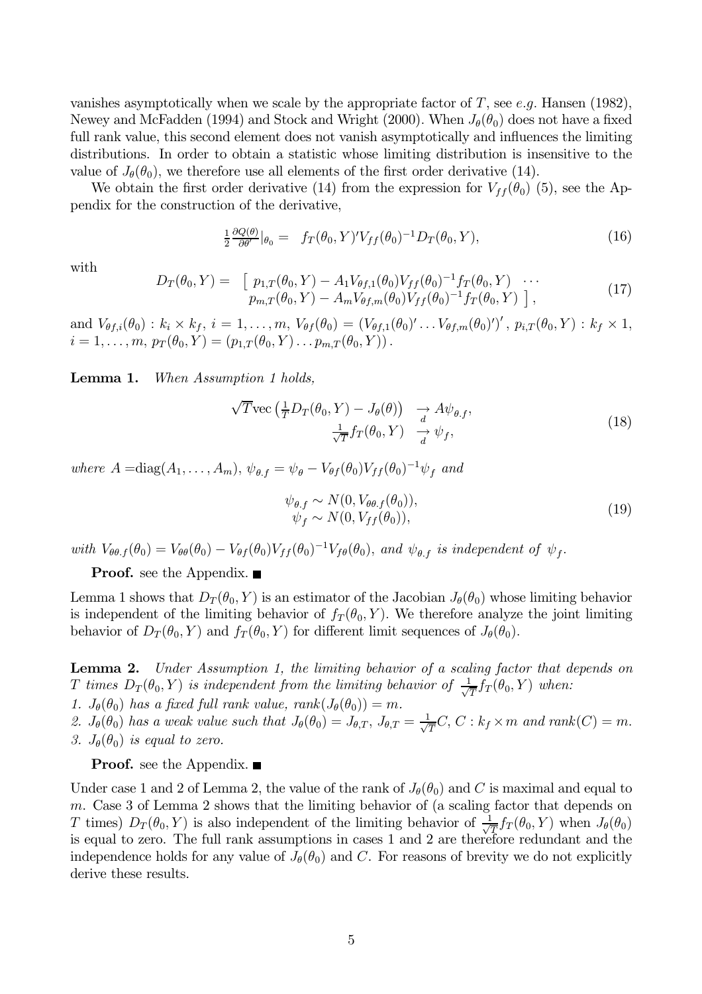vanishes asymptotically when we scale by the appropriate factor of T, see e.g. Hansen (1982), Newey and McFadden (1994) and Stock and Wright (2000). When  $J_{\theta}(\theta_0)$  does not have a fixed full rank value, this second element does not vanish asymptotically and influences the limiting distributions. In order to obtain a statistic whose limiting distribution is insensitive to the value of  $J_{\theta}(\theta_0)$ , we therefore use all elements of the first order derivative (14).

We obtain the first order derivative (14) from the expression for  $V_{ff}(\theta_0)$  (5), see the Appendix for the construction of the derivative,

$$
\frac{1}{2} \frac{\partial Q(\theta)}{\partial \theta'}|_{\theta_0} = f_T(\theta_0, Y)' V_{ff}(\theta_0)^{-1} D_T(\theta_0, Y), \tag{16}
$$

with

$$
D_T(\theta_0, Y) = \begin{bmatrix} p_{1,T}(\theta_0, Y) - A_1 V_{\theta f,1}(\theta_0) V_{ff}(\theta_0)^{-1} f_T(\theta_0, Y) & \cdots \\ p_{m,T}(\theta_0, Y) - A_m V_{\theta f,m}(\theta_0) V_{ff}(\theta_0)^{-1} f_T(\theta_0, Y) \end{bmatrix},
$$
\n(17)

and  $V_{\theta f,i}(\theta_0) : k_i \times k_f$ ,  $i = 1, ..., m$ ,  $V_{\theta f}(\theta_0) = (V_{\theta f,1}(\theta_0)' \dots V_{\theta f,m}(\theta_0)')'$ ,  $p_{i,T}(\theta_0, Y) : k_f \times 1$ ,  $i = 1, ..., m$ ,  $p_T(\theta_0, Y) = (p_{1,T}(\theta_0, Y) \dots p_{m,T}(\theta_0, Y))$ .

Lemma 1. When Assumption 1 holds,

$$
\sqrt{T} \text{vec} \left( \frac{1}{T} D_T(\theta_0, Y) - J_\theta(\theta) \right) \xrightarrow[d]{d} A \psi_{\theta, f},
$$
  

$$
\frac{1}{\sqrt{T}} f_T(\theta_0, Y) \xrightarrow[d]{d} \psi_f,
$$
 (18)

where  $A = diag(A_1, ..., A_m)$ ,  $\psi_{\theta,f} = \psi_{\theta} - V_{\theta f}(\theta_0) V_{ff}(\theta_0)^{-1} \psi_f$  and

$$
\psi_{\theta,f} \sim N(0, V_{\theta\theta,f}(\theta_0)), \psi_f \sim N(0, V_{ff}(\theta_0)),
$$
\n(19)

with  $V_{\theta\theta,f}(\theta_0) = V_{\theta\theta}(\theta_0) - V_{\theta f}(\theta_0)V_{ff}(\theta_0)^{-1}V_{f\theta}(\theta_0)$ , and  $\psi_{\theta,f}$  is independent of  $\psi_f$ .

**Proof.** see the Appendix.  $\blacksquare$ 

Lemma 1 shows that  $D_T(\theta_0, Y)$  is an estimator of the Jacobian  $J_\theta(\theta_0)$  whose limiting behavior is independent of the limiting behavior of  $f_T(\theta_0, Y)$ . We therefore analyze the joint limiting behavior of  $D_T(\theta_0, Y)$  and  $f_T(\theta_0, Y)$  for different limit sequences of  $J_\theta(\theta_0)$ .

**Lemma 2.** Under Assumption 1, the limiting behavior of a scaling factor that depends on T times  $D_T(\theta_0, Y)$  is independent from the limiting behavior of  $\frac{1}{\sqrt{T}} f_T(\theta_0, Y)$  when:

1.  $J_{\theta}(\theta_0)$  has a fixed full rank value, rank $(J_{\theta}(\theta_0)) = m$ .

2.  $J_{\theta}(\theta_0)$  has a weak value such that  $J_{\theta}(\theta_0) = J_{\theta,T}$ ,  $J_{\theta,T} = \frac{1}{\sqrt{T}}C$ ,  $C : k_f \times m$  and rank $(C) = m$ . 3.  $J_{\theta}(\theta_0)$  is equal to zero.

**Proof.** see the Appendix.  $\blacksquare$ 

Under case 1 and 2 of Lemma 2, the value of the rank of  $J_{\theta}(\theta_0)$  and C is maximal and equal to  $m$ . Case 3 of Lemma 2 shows that the limiting behavior of (a scaling factor that depends on T times)  $D_T(\theta_0, Y)$  is also independent of the limiting behavior of  $\frac{1}{\sqrt{T}} f_T(\theta_0, Y)$  when  $J_\theta(\theta_0)$ is equal to zero. The full rank assumptions in cases 1 and 2 are therefore redundant and the independence holds for any value of  $J_{\theta}(\theta_0)$  and C. For reasons of brevity we do not explicitly derive these results.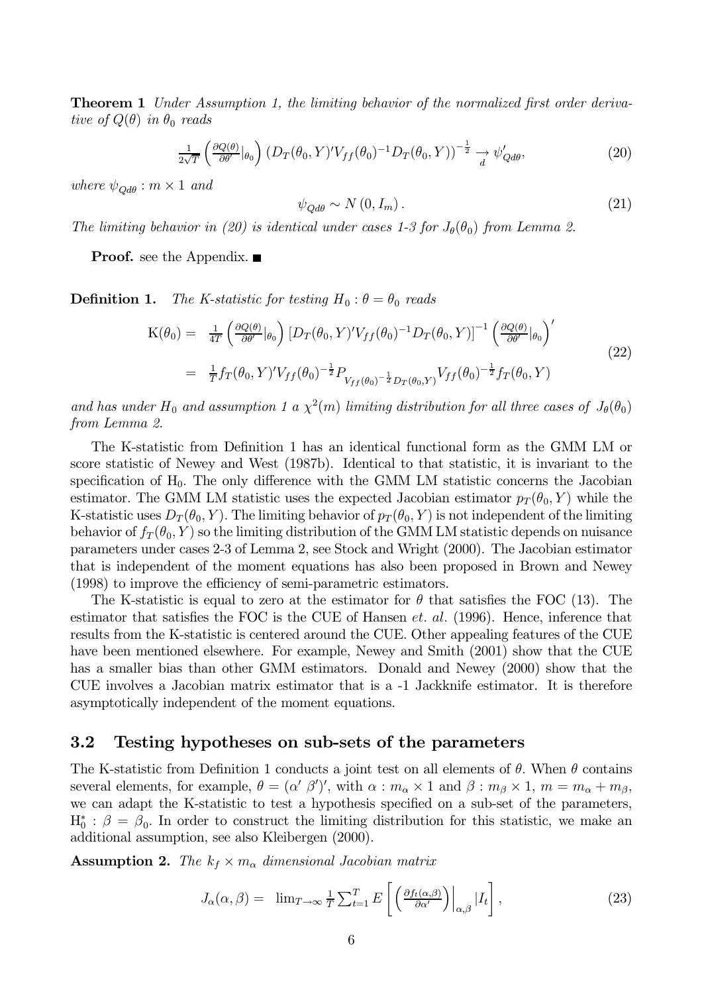**Theorem 1** Under Assumption 1, the limiting behavior of the normalized first order derivative of  $Q(\theta)$  in  $\theta_0$  reads

$$
\frac{1}{2\sqrt{T}} \left( \frac{\partial Q(\theta)}{\partial \theta'} |_{\theta_0} \right) \left( D_T(\theta_0, Y)' V_{ff}(\theta_0)^{-1} D_T(\theta_0, Y) \right)^{-\frac{1}{2}} \xrightarrow[d]{\psi'_{Qd\theta}}, \tag{20}
$$

where  $\psi_{Od\theta}: m \times 1$  and

$$
\psi_{Qd\theta} \sim N(0, I_m). \tag{21}
$$

The limiting behavior in (20) is identical under cases 1-3 for  $J_{\theta}(\theta_0)$  from Lemma 2.

**Proof.** see the Appendix.  $\blacksquare$ 

Definition 1. The K-statistic for testing  $H_0: \theta = \theta_0$  reads

$$
K(\theta_0) = \frac{1}{4T} \left( \frac{\partial Q(\theta)}{\partial \theta'} |_{\theta_0} \right) \left[ D_T(\theta_0, Y)' V_{ff}(\theta_0)^{-1} D_T(\theta_0, Y) \right]^{-1} \left( \frac{\partial Q(\theta)}{\partial \theta'} |_{\theta_0} \right)'
$$
  
\n
$$
= \frac{1}{T} f_T(\theta_0, Y)' V_{ff}(\theta_0)^{-\frac{1}{2}} P_{V_{ff}(\theta_0)^{-\frac{1}{2}} D_T(\theta_0, Y)} V_{ff}(\theta_0)^{-\frac{1}{2}} f_T(\theta_0, Y) \tag{22}
$$

and has under H<sub>0</sub> and assumption 1 a  $\chi^2(m)$  limiting distribution for all three cases of  $J_{\theta}(\theta_0)$ from Lemma 2.

The K-statistic from Definition 1 has an identical functional form as the GMM LM or score statistic of Newey and West (1987b). Identical to that statistic, it is invariant to the specification of  $H_0$ . The only difference with the GMM LM statistic concerns the Jacobian estimator. The GMM LM statistic uses the expected Jacobian estimator  $p_T(\theta_0, Y)$  while the K-statistic uses  $D_T(\theta_0, Y)$ . The limiting behavior of  $p_T(\theta_0, Y)$  is not independent of the limiting behavior of  $f_T(\theta_0, Y)$  so the limiting distribution of the GMM LM statistic depends on nuisance parameters under cases 2-3 of Lemma 2, see Stock and Wright (2000). The Jacobian estimator that is independent of the moment equations has also been proposed in Brown and Newey (1998) to improve the efficiency of semi-parametric estimators.

The K-statistic is equal to zero at the estimator for  $\theta$  that satisfies the FOC (13). The estimator that satisfies the FOC is the CUE of Hansen  $et.$  al. (1996). Hence, inference that results from the K-statistic is centered around the CUE. Other appealing features of the CUE have been mentioned elsewhere. For example, Newey and Smith (2001) show that the CUE has a smaller bias than other GMM estimators. Donald and Newey (2000) show that the CUE involves a Jacobian matrix estimator that is a  $-1$  Jackknife estimator. It is therefore asymptotically independent of the moment equations.

#### 3.2 Testing hypotheses on sub-sets of the parameters

The K-statistic from Definition 1 conducts a joint test on all elements of  $\theta$ . When  $\theta$  contains several elements, for example,  $\theta = (\alpha' \beta')'$ , with  $\alpha : m_{\alpha} \times 1$  and  $\beta : m_{\beta} \times 1$ ,  $m = m_{\alpha} + m_{\beta}$ , we can adapt the K-statistic to test a hypothesis specified on a sub-set of the parameters,  $H_0^*$ :  $\beta = \beta_0$ . In order to construct the limiting distribution for this statistic, we make an additional assumption, see also Kleibergen (2000).

**Assumption 2.** The  $k_f \times m_\alpha$  dimensional Jacobian matrix

$$
J_{\alpha}(\alpha,\beta) = \lim_{T \to \infty} \frac{1}{T} \sum_{t=1}^{T} E\left[ \left( \frac{\partial f_t(\alpha,\beta)}{\partial \alpha'} \right) \Big|_{\alpha,\beta} |I_t \right],
$$
 (23)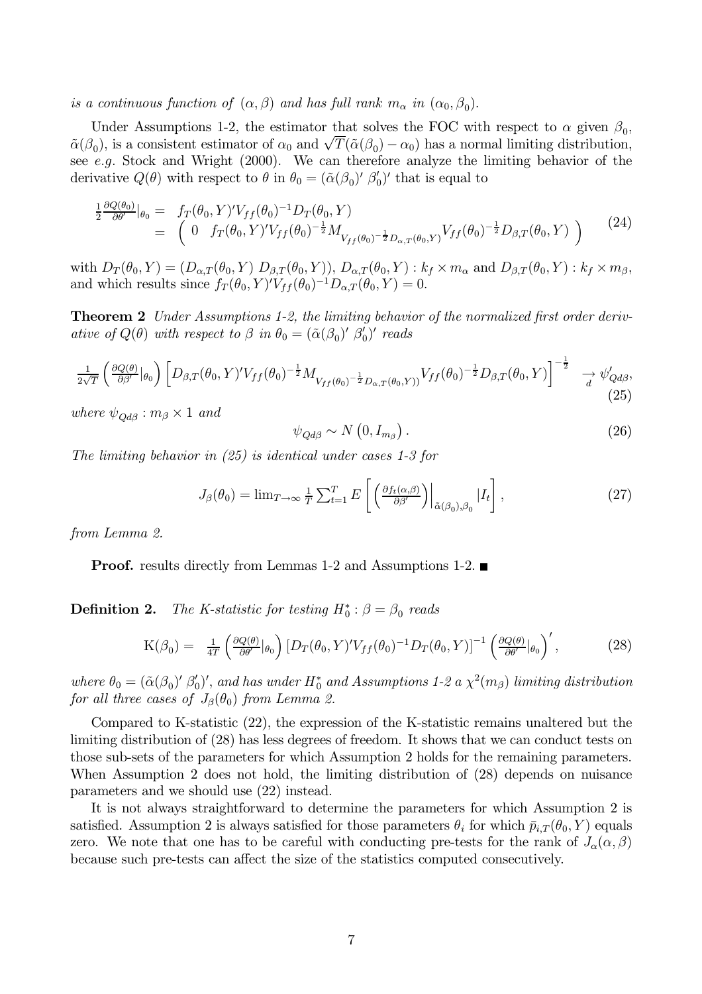is a continuous function of  $(\alpha, \beta)$  and has full rank  $m_{\alpha}$  in  $(\alpha_0, \beta_0)$ .

Under Assumptions 1-2, the estimator that solves the FOC with respect to  $\alpha$  given  $\beta_0$ ,  $\tilde{\alpha}(\beta_0)$ , is a consistent estimator of  $\alpha_0$  and  $\sqrt{T}(\tilde{\alpha}(\beta_0) - \alpha_0)$  has a normal limiting distribution, see e.g. Stock and Wright (2000). We can therefore analyze the limiting behavior of the derivative  $Q(\theta)$  with respect to  $\theta$  in  $\theta_0 = (\tilde{\alpha}(\beta_0)'\beta'_0)'$  that is equal to

$$
\frac{\frac{1}{2}\frac{\partial Q(\theta_{0})}{\partial \theta'}}{\frac{1}{2}\theta'}|_{\theta_{0}} = f_{T}(\theta_{0}, Y)'V_{ff}(\theta_{0})^{-1}D_{T}(\theta_{0}, Y) \n= \left(0 \quad f_{T}(\theta_{0}, Y)'V_{ff}(\theta_{0})^{-\frac{1}{2}}M_{V_{ff}(\theta_{0})^{-\frac{1}{2}}D_{\alpha, T}(\theta_{0}, Y)}V_{ff}(\theta_{0})^{-\frac{1}{2}}D_{\beta, T}(\theta_{0}, Y)\right)
$$
\n(24)

with  $D_T(\theta_0, Y) = (D_{\alpha,T}(\theta_0, Y) D_{\beta,T}(\theta_0, Y)), D_{\alpha,T}(\theta_0, Y) : k_f \times m_\alpha$  and  $D_{\beta,T}(\theta_0, Y) : k_f \times m_\beta$ , and which results since  $f_T(\theta_0, Y)^{'}V_{ff}(\theta_0)^{-1}D_{\alpha,T}(\theta_0, Y) = 0$ .

**Theorem 2** Under Assumptions 1-2, the limiting behavior of the normalized first order derivative of  $Q(\theta)$  with respect to  $\beta$  in  $\theta_0 = (\tilde{\alpha}(\beta_0)' \beta'_0)'$  reads

$$
\frac{1}{2\sqrt{T}} \left( \frac{\partial Q(\theta)}{\partial \beta'} |_{\theta_0} \right) \left[ D_{\beta,T}(\theta_0, Y)' V_{ff}(\theta_0)^{-\frac{1}{2}} M_{V_{ff}(\theta_0)^{-\frac{1}{2}} D_{\alpha,T}(\theta_0, Y)'} V_{ff}(\theta_0)^{-\frac{1}{2}} D_{\beta,T}(\theta_0, Y) \right]^{-\frac{1}{2}} \xrightarrow[d]{} \psi'_{Qd\beta},\tag{25}
$$

where  $\psi_{Od\beta}: m_{\beta} \times 1$  and

$$
\psi_{Qd\beta} \sim N\left(0, I_{m_{\beta}}\right). \tag{26}
$$

The limiting behavior in  $(25)$  is identical under cases 1-3 for

$$
J_{\beta}(\theta_0) = \lim_{T \to \infty} \frac{1}{T} \sum_{t=1}^{T} E\left[ \left( \frac{\partial f_t(\alpha, \beta)}{\partial \beta'} \right) \Big|_{\tilde{\alpha}(\beta_0), \beta_0} |I_t \right],
$$
 (27)

from Lemma 2.

**Proof.** results directly from Lemmas 1-2 and Assumptions 1-2.  $\blacksquare$ 

Definition 2. The K-statistic for testing  $H_0^*$ :  $\beta = \beta_0$  reads

$$
K(\beta_0) = \frac{1}{4T} \left( \frac{\partial Q(\theta)}{\partial \theta'} |_{\theta_0} \right) \left[ D_T(\theta_0, Y)' V_{ff}(\theta_0)^{-1} D_T(\theta_0, Y) \right]^{-1} \left( \frac{\partial Q(\theta)}{\partial \theta'} |_{\theta_0} \right)', \tag{28}
$$

where  $\theta_0 = (\tilde{\alpha}(\beta_0)' \beta'_0)'$ , and has under  $H_0^*$  and Assumptions 1-2 a  $\chi^2(m_\beta)$  limiting distribution for all three cases of  $J_{\beta}(\theta_0)$  from Lemma 2.

Compared to K-statistic (22), the expression of the K-statistic remains unaltered but the limiting distribution of (28) has less degrees of freedom. It shows that we can conduct tests on those sub-sets of the parameters for which Assumption 2 holds for the remaining parameters. When Assumption 2 does not hold, the limiting distribution of (28) depends on nuisance parameters and we should use  $(22)$  instead.

It is not always straightforward to determine the parameters for which Assumption 2 is satisfied. Assumption 2 is always satisfied for those parameters  $\theta_i$  for which  $\bar{p}_{i,T}(\theta_0, Y)$  equals zero. We note that one has to be careful with conducting pre-tests for the rank of  $J_{\alpha}(\alpha, \beta)$ because such pre-tests can affect the size of the statistics computed consecutively.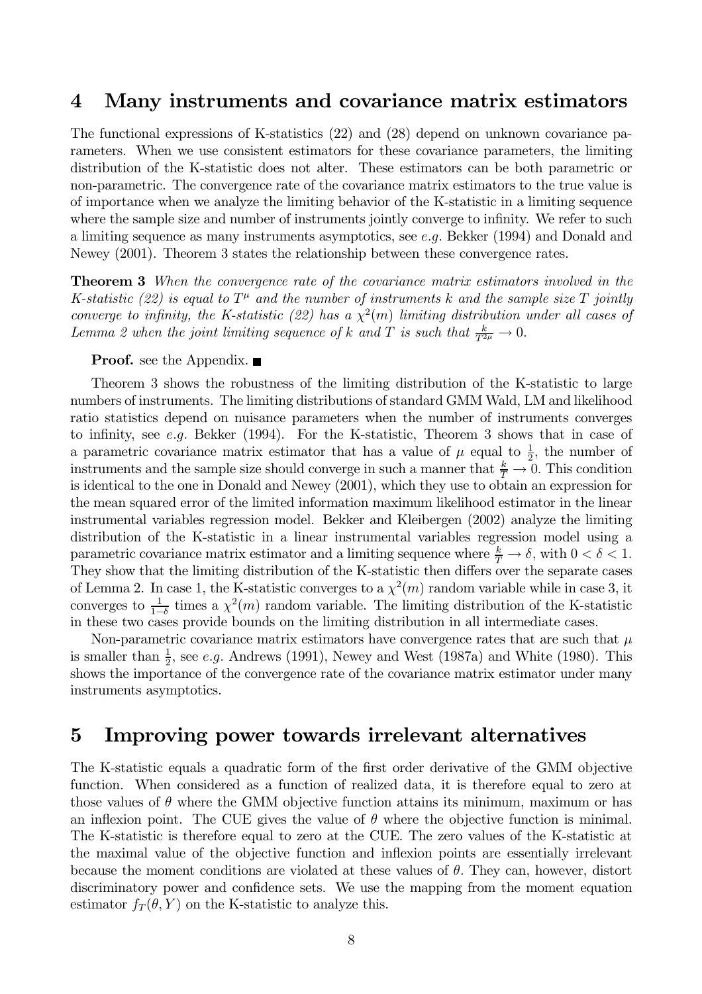#### Many instruments and covariance matrix estimators  $\boldsymbol{4}$

The functional expressions of K-statistics  $(22)$  and  $(28)$  depend on unknown covariance parameters. When we use consistent estimators for these covariance parameters, the limiting distribution of the K-statistic does not alter. These estimators can be both parametric or non-parametric. The convergence rate of the covariance matrix estimators to the true value is of importance when we analyze the limiting behavior of the K-statistic in a limiting sequence where the sample size and number of instruments jointly converge to infinity. We refer to such a limiting sequence as many instruments asymptotics, see  $e,q$ . Bekker (1994) and Donald and Newey  $(2001)$ . Theorem 3 states the relationship between these convergence rates.

**Theorem 3** When the convergence rate of the covariance matrix estimators involved in the K-statistic (22) is equal to  $T^{\mu}$  and the number of instruments k and the sample size T jointly converge to infinity, the K-statistic (22) has a  $\chi^2(m)$  limiting distribution under all cases of Lemma 2 when the joint limiting sequence of k and T is such that  $\frac{k}{T^{2\mu}} \to 0$ .

## **Proof.** see the Appendix.  $\blacksquare$

Theorem 3 shows the robustness of the limiting distribution of the K-statistic to large numbers of instruments. The limiting distributions of standard GMM Wald, LM and likelihood ratio statistics depend on nuisance parameters when the number of instruments converges to infinity, see e.g. Bekker (1994). For the K-statistic, Theorem 3 shows that in case of a parametric covariance matrix estimator that has a value of  $\mu$  equal to  $\frac{1}{2}$ , the number of instruments and the sample size should converge in such a manner that  $\frac{k}{T} \to 0$ . This condition is identical to the one in Donald and Newey (2001), which they use to obtain an expression for the mean squared error of the limited information maximum likelihood estimator in the linear instrumental variables regression model. Bekker and Kleibergen (2002) analyze the limiting distribution of the K-statistic in a linear instrumental variables regression model using a parametric covariance matrix estimator and a limiting sequence where  $\frac{k}{T} \to \delta$ , with  $0 < \delta < 1$ . They show that the limiting distribution of the K-statistic then differs over the separate cases of Lemma 2. In case 1, the K-statistic converges to a  $\chi^2(m)$  random variable while in case 3, it converges to  $\frac{1}{1-\delta}$  times a  $\chi^2(m)$  random variable. The limiting distribution of the K-statistic in these two cases provide bounds on the limiting distribution in all intermediate cases.

Non-parametric covariance matrix estimators have convergence rates that are such that  $\mu$ is smaller than  $\frac{1}{2}$ , see *e.g.* Andrews (1991), Newey and West (1987a) and White (1980). This shows the importance of the convergence rate of the covariance matrix estimator under many instruments asymptotics.

#### Improving power towards irrelevant alternatives  $\bf{5}$

The K-statistic equals a quadratic form of the first order derivative of the GMM objective function. When considered as a function of realized data, it is therefore equal to zero at those values of  $\theta$  where the GMM objective function attains its minimum, maximum or has an inflexion point. The CUE gives the value of  $\theta$  where the objective function is minimal. The K-statistic is therefore equal to zero at the CUE. The zero values of the K-statistic at the maximal value of the objective function and inflexion points are essentially irrelevant because the moment conditions are violated at these values of  $\theta$ . They can, however, distort discriminatory power and confidence sets. We use the mapping from the moment equation estimator  $f_T(\theta, Y)$  on the K-statistic to analyze this.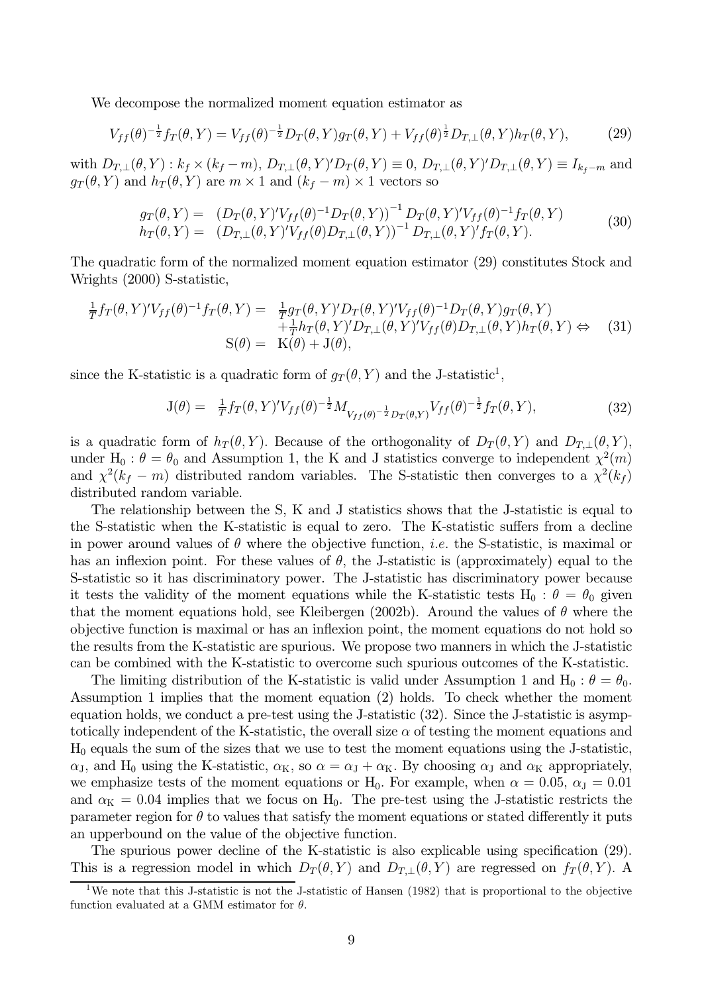We decompose the normalized moment equation estimator as

$$
V_{ff}(\theta)^{-\frac{1}{2}}f_T(\theta, Y) = V_{ff}(\theta)^{-\frac{1}{2}}D_T(\theta, Y)g_T(\theta, Y) + V_{ff}(\theta)^{\frac{1}{2}}D_{T,\perp}(\theta, Y)h_T(\theta, Y), \tag{29}
$$

with  $D_{T,\perp}(\theta,Y): k_f \times (k_f-m)$ ,  $D_{T,\perp}(\theta,Y)'D_T(\theta,Y) \equiv 0$ ,  $D_{T,\perp}(\theta,Y)'D_{T,\perp}(\theta,Y) \equiv I_{k_f-m}$  and  $g_T(\theta, Y)$  and  $h_T(\theta, Y)$  are  $m \times 1$  and  $(k_f - m) \times 1$  vectors so

$$
g_T(\theta, Y) = (D_T(\theta, Y)' V_{ff}(\theta)^{-1} D_T(\theta, Y))^{-1} D_T(\theta, Y)' V_{ff}(\theta)^{-1} f_T(\theta, Y) h_T(\theta, Y) = (D_{T, \perp}(\theta, Y)' V_{ff}(\theta) D_{T, \perp}(\theta, Y))^{-1} D_{T, \perp}(\theta, Y)' f_T(\theta, Y).
$$
(30)

The quadratic form of the normalized moment equation estimator (29) constitutes Stock and Wrights (2000) S-statistic,

$$
\frac{1}{T}f_T(\theta, Y)'V_{ff}(\theta)^{-1}f_T(\theta, Y) = \frac{1}{T}g_T(\theta, Y)'D_T(\theta, Y)'V_{ff}(\theta)^{-1}D_T(\theta, Y)g_T(\theta, Y) \n+ \frac{1}{T}h_T(\theta, Y)'D_{T,\perp}(\theta, Y)'V_{ff}(\theta)D_{T,\perp}(\theta, Y)h_T(\theta, Y) \Leftrightarrow (31) \nS(\theta) = K(\theta) + J(\theta),
$$

since the K-statistic is a quadratic form of  $q_T(\theta, Y)$  and the J-statistic<sup>1</sup>,

$$
J(\theta) = \frac{1}{T} f_T(\theta, Y)' V_{ff}(\theta)^{-\frac{1}{2}} M_{V_{ff}(\theta)^{-\frac{1}{2}} D_T(\theta, Y)} V_{ff}(\theta)^{-\frac{1}{2}} f_T(\theta, Y), \tag{32}
$$

is a quadratic form of  $h_T(\theta, Y)$ . Because of the orthogonality of  $D_T(\theta, Y)$  and  $D_{T, \perp}(\theta, Y)$ , under H<sub>0</sub>:  $\theta = \theta_0$  and Assumption 1, the K and J statistics converge to independent  $\chi^2(m)$ and  $\chi^2(k_f - m)$  distributed random variables. The S-statistic then converges to a  $\chi^2(k_f)$ distributed random variable.

The relationship between the S, K and J statistics shows that the J-statistic is equal to the S-statistic when the K-statistic is equal to zero. The K-statistic suffers from a decline in power around values of  $\theta$  where the objective function, *i.e.* the S-statistic, is maximal or has an inflexion point. For these values of  $\theta$ , the J-statistic is (approximately) equal to the S-statistic so it has discriminatory power. The J-statistic has discriminatory power because it tests the validity of the moment equations while the K-statistic tests  $H_0: \theta = \theta_0$  given that the moment equations hold, see Kleibergen (2002b). Around the values of  $\theta$  where the objective function is maximal or has an inflexion point, the moment equations do not hold so the results from the K-statistic are spurious. We propose two manners in which the J-statistic can be combined with the K-statistic to overcome such spurious outcomes of the K-statistic.

The limiting distribution of the K-statistic is valid under Assumption 1 and H<sub>0</sub>:  $\theta = \theta_0$ . Assumption 1 implies that the moment equation (2) holds. To check whether the moment equation holds, we conduct a pre-test using the J-statistic (32). Since the J-statistic is asymptotically independent of the K-statistic, the overall size  $\alpha$  of testing the moment equations and  $H_0$  equals the sum of the sizes that we use to test the moment equations using the J-statistic,  $\alpha_{\rm J}$ , and H<sub>0</sub> using the K-statistic,  $\alpha_{\rm K}$ , so  $\alpha = \alpha_{\rm J} + \alpha_{\rm K}$ . By choosing  $\alpha_{\rm J}$  and  $\alpha_{\rm K}$  appropriately, we emphasize tests of the moment equations or H<sub>0</sub>. For example, when  $\alpha = 0.05$ ,  $\alpha_{\text{J}} = 0.01$ and  $\alpha_{\rm K} = 0.04$  implies that we focus on H<sub>0</sub>. The pre-test using the J-statistic restricts the parameter region for  $\theta$  to values that satisfy the moment equations or stated differently it puts an upperbound on the value of the objective function.

The spurious power decline of the K-statistic is also explicable using specification (29). This is a regression model in which  $D_T(\theta, Y)$  and  $D_{T,\perp}(\theta, Y)$  are regressed on  $f_T(\theta, Y)$ . A

<sup>&</sup>lt;sup>1</sup>We note that this J-statistic is not the J-statistic of Hansen (1982) that is proportional to the objective function evaluated at a GMM estimator for  $\theta$ .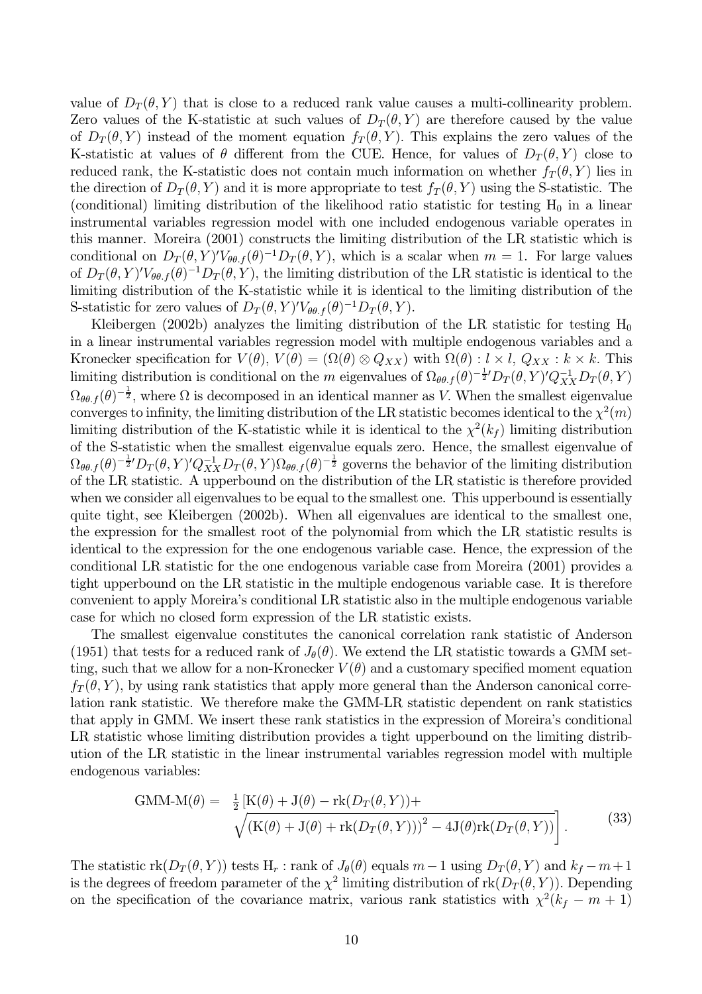value of  $D_T(\theta, Y)$  that is close to a reduced rank value causes a multi-collinearity problem. Zero values of the K-statistic at such values of  $D_T(\theta, Y)$  are therefore caused by the value of  $D_T(\theta, Y)$  instead of the moment equation  $f_T(\theta, Y)$ . This explains the zero values of the K-statistic at values of  $\theta$  different from the CUE. Hence, for values of  $D_T(\theta, Y)$  close to reduced rank, the K-statistic does not contain much information on whether  $f_T(\theta, Y)$  lies in the direction of  $D_T(\theta, Y)$  and it is more appropriate to test  $f_T(\theta, Y)$  using the S-statistic. The (conditional) limiting distribution of the likelihood ratio statistic for testing  $H_0$  in a linear instrumental variables regression model with one included endogenous variable operates in this manner. Moreira (2001) constructs the limiting distribution of the LR statistic which is conditional on  $D_T(\theta, Y)'V_{\theta,\theta,f}(\theta)^{-1}D_T(\theta, Y)$ , which is a scalar when  $m = 1$ . For large values of  $D_T(\theta, Y)V_{\theta\theta,f}(\theta)^{-1}D_T(\theta, Y)$ , the limiting distribution of the LR statistic is identical to the limiting distribution of the K-statistic while it is identical to the limiting distribution of the S-statistic for zero values of  $D_T(\theta, Y)'V_{\theta\theta, f}(\theta)^{-1}D_T(\theta, Y)$ .

Kleibergen (2002b) analyzes the limiting distribution of the LR statistic for testing  $H_0$ in a linear instrumental variables regression model with multiple endogenous variables and a Kronecker specification for  $V(\theta)$ ,  $V(\theta) = (\Omega(\theta) \otimes Q_{XX})$  with  $\Omega(\theta) : l \times l$ ,  $Q_{XX} : k \times k$ . This limiting distribution is conditional on the m eigenvalues of  $\Omega_{\theta\theta,f}(\theta)^{-\frac{1}{2}}D_T(\theta,Y)Q_{XX}^{-1}D_T(\theta,Y)$  $\Omega_{\theta\theta,f}(\theta)^{-\frac{1}{2}}$ , where  $\Omega$  is decomposed in an identical manner as V. When the smallest eigenvalue converges to infinity, the limiting distribution of the LR statistic becomes identical to the  $\chi^2(m)$ limiting distribution of the K-statistic while it is identical to the  $\chi^2(k_f)$  limiting distribution of the S-statistic when the smallest eigenvalue equals zero. Hence, the smallest eigenvalue of  $\Omega_{\theta\theta,f}(\theta)^{-\frac{1}{2}}D_T(\theta,Y)Q_{XX}^{-1}D_T(\theta,Y)\Omega_{\theta\theta,f}(\theta)^{-\frac{1}{2}}$  governs the behavior of the limiting distribution of the LR statistic. A upperbound on the distribution of the LR statistic is therefore provided when we consider all eigenvalues to be equal to the smallest one. This upperbound is essentially quite tight, see Kleibergen (2002b). When all eigenvalues are identical to the smallest one, the expression for the smallest root of the polynomial from which the LR statistic results is identical to the expression for the one endogenous variable case. Hence, the expression of the conditional LR statistic for the one endogenous variable case from Moreira (2001) provides a tight upperbound on the LR statistic in the multiple endogenous variable case. It is therefore convenient to apply Moreira's conditional LR statistic also in the multiple endogenous variable case for which no closed form expression of the LR statistic exists.

The smallest eigenvalue constitutes the canonical correlation rank statistic of Anderson (1951) that tests for a reduced rank of  $J_{\theta}(\theta)$ . We extend the LR statistic towards a GMM setting, such that we allow for a non-Kronecker  $V(\theta)$  and a customary specified moment equation  $f_T(\theta, Y)$ , by using rank statistics that apply more general than the Anderson canonical correlation rank statistic. We therefore make the GMM-LR statistic dependent on rank statistics that apply in GMM. We insert these rank statistics in the expression of Moreira's conditional LR statistic whose limiting distribution provides a tight upperbound on the limiting distribution of the LR statistic in the linear instrumental variables regression model with multiple endogenous variables:

$$
\text{GMM-M}(\theta) = \frac{1}{2} \left[ \text{K}(\theta) + \text{J}(\theta) - \text{rk}(D_T(\theta, Y)) + \sqrt{\left( \text{K}(\theta) + \text{J}(\theta) + \text{rk}(D_T(\theta, Y)) \right)^2 - 4 \text{J}(\theta) \text{rk}(D_T(\theta, Y))} \right].
$$
\n(33)

The statistic  $\text{rk}(D_T(\theta, Y))$  tests  $H_r$ : rank of  $J_{\theta}(\theta)$  equals  $m-1$  using  $D_T(\theta, Y)$  and  $k_f - m + 1$ is the degrees of freedom parameter of the  $\chi^2$  limiting distribution of  $rk(D_T(\theta, Y))$ . Depending on the specification of the covariance matrix, various rank statistics with  $\chi^2(k_f - m + 1)$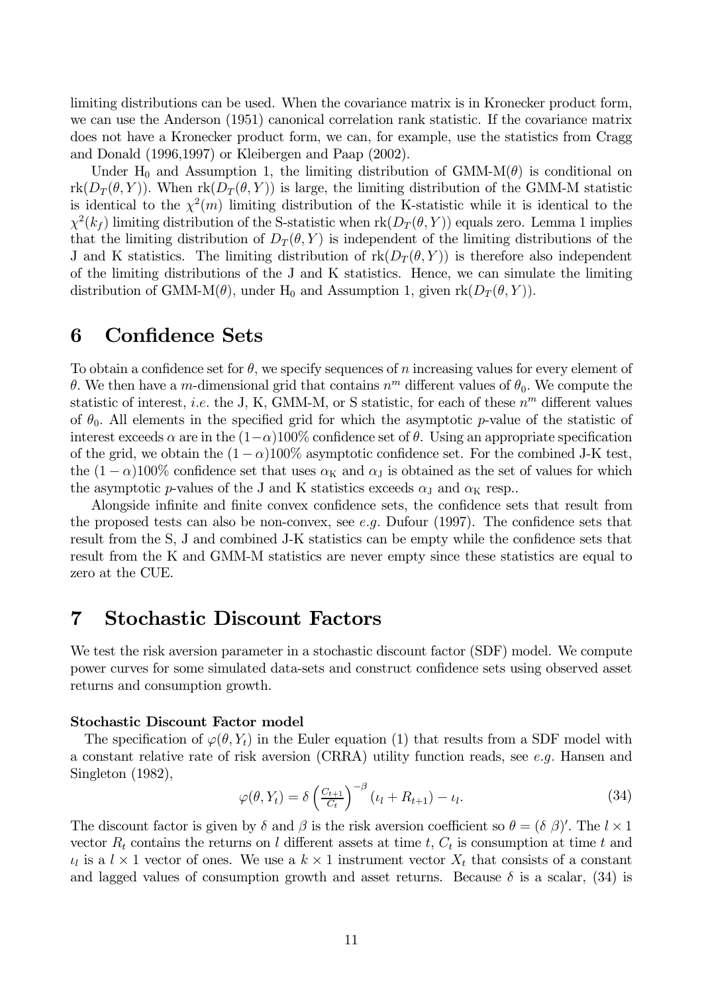limiting distributions can be used. When the covariance matrix is in Kronecker product form, we can use the Anderson (1951) canonical correlation rank statistic. If the covariance matrix does not have a Kronecker product form, we can, for example, use the statistics from Cragg and Donald  $(1996,1997)$  or Kleibergen and Paap  $(2002)$ .

Under H<sub>0</sub> and Assumption 1, the limiting distribution of GMM-M $(\theta)$  is conditional on  $rk(D_T(\theta, Y))$ . When  $rk(D_T(\theta, Y))$  is large, the limiting distribution of the GMM-M statistic is identical to the  $\chi^2(m)$  limiting distribution of the K-statistic while it is identical to the  $\chi^2(k_f)$  limiting distribution of the S-statistic when  $rk(D_T(\theta, Y))$  equals zero. Lemma 1 implies that the limiting distribution of  $D_T(\theta, Y)$  is independent of the limiting distributions of the J and K statistics. The limiting distribution of  $rk(D_T(\theta, Y))$  is therefore also independent of the limiting distributions of the J and K statistics. Hence, we can simulate the limiting distribution of GMM-M $(\theta)$ , under H<sub>0</sub> and Assumption 1, given  $rk(D_T(\theta, Y))$ .

#### 6 **Confidence Sets**

To obtain a confidence set for  $\theta$ , we specify sequences of n increasing values for every element of  $\theta$ . We then have a m-dimensional grid that contains  $n^m$  different values of  $\theta_0$ . We compute the statistic of interest, *i.e.* the J, K, GMM-M, or S statistic, for each of these  $n^m$  different values of  $\theta_0$ . All elements in the specified grid for which the asymptotic p-value of the statistic of interest exceeds  $\alpha$  are in the  $(1-\alpha)100\%$  confidence set of  $\theta$ . Using an appropriate specification of the grid, we obtain the  $(1 - \alpha)100\%$  asymptotic confidence set. For the combined J-K test, the  $(1 - \alpha)100\%$  confidence set that uses  $\alpha_K$  and  $\alpha_J$  is obtained as the set of values for which the asymptotic p-values of the J and K statistics exceeds  $\alpha_{\rm J}$  and  $\alpha_{\rm K}$  resp.

Alongside infinite and finite convex confidence sets, the confidence sets that result from the proposed tests can also be non-convex, see e.g. Dufour  $(1997)$ . The confidence sets that result from the S, J and combined J-K statistics can be empty while the confidence sets that result from the K and GMM-M statistics are never empty since these statistics are equal to zero at the CUE.

#### **Stochastic Discount Factors**  $\overline{7}$

We test the risk aversion parameter in a stochastic discount factor (SDF) model. We compute power curves for some simulated data-sets and construct confidence sets using observed asset returns and consumption growth.

### **Stochastic Discount Factor model**

The specification of  $\varphi(\theta, Y_t)$  in the Euler equation (1) that results from a SDF model with a constant relative rate of risk aversion (CRRA) utility function reads, see e.g. Hansen and Singleton  $(1982)$ ,

$$
\varphi(\theta, Y_t) = \delta \left(\frac{C_{t+1}}{C_t}\right)^{-\beta} (\iota_l + R_{t+1}) - \iota_l. \tag{34}
$$

The discount factor is given by  $\delta$  and  $\beta$  is the risk aversion coefficient so  $\theta = (\delta \beta)'$ . The  $l \times 1$ vector  $R_t$  contains the returns on l different assets at time t,  $C_t$  is consumption at time t and  $\iota_l$  is a  $l \times 1$  vector of ones. We use a  $k \times 1$  instrument vector  $X_t$  that consists of a constant and lagged values of consumption growth and asset returns. Because  $\delta$  is a scalar, (34) is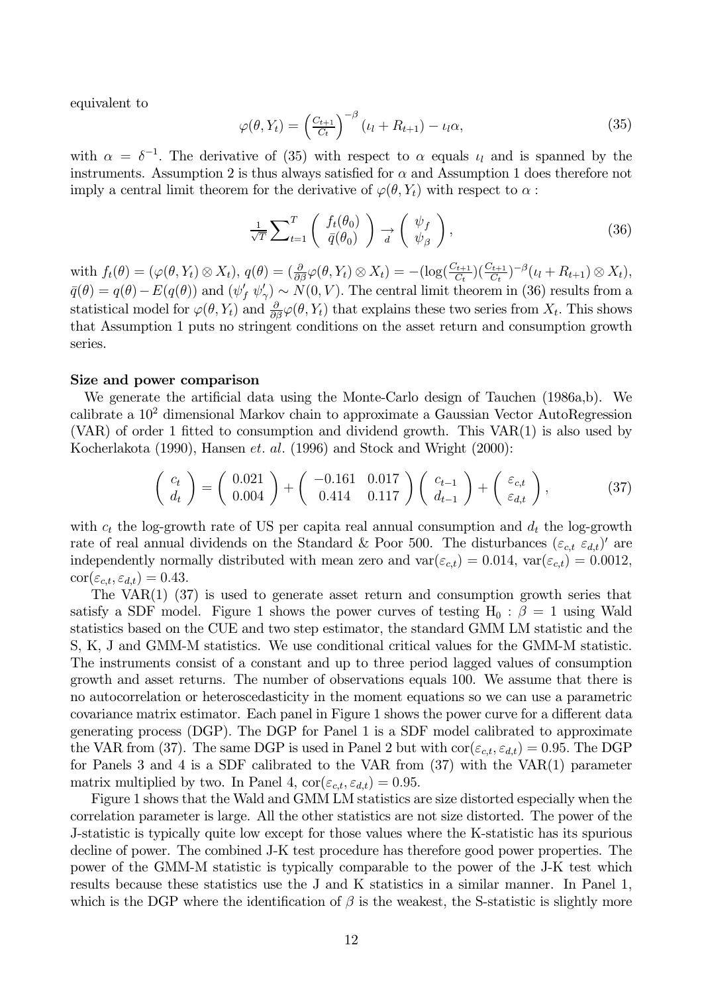equivalent to

$$
\varphi(\theta, Y_t) = \left(\frac{C_{t+1}}{C_t}\right)^{-\beta} \left(\iota_l + R_{t+1}\right) - \iota_l \alpha,\tag{35}
$$

with  $\alpha = \delta^{-1}$ . The derivative of (35) with respect to  $\alpha$  equals  $\iota_l$  and is spanned by the instruments. Assumption 2 is thus always satisfied for  $\alpha$  and Assumption 1 does therefore not imply a central limit theorem for the derivative of  $\varphi(\theta, Y_t)$  with respect to  $\alpha$ :

$$
\frac{1}{\sqrt{T}} \sum_{t=1}^{T} \left( \begin{array}{c} f_t(\theta_0) \\ \bar{q}(\theta_0) \end{array} \right) \underset{d}{\rightarrow} \left( \begin{array}{c} \psi_f \\ \psi_\beta \end{array} \right), \tag{36}
$$

with  $f_t(\theta) = (\varphi(\theta, Y_t) \otimes X_t), q(\theta) = (\frac{\partial}{\partial \beta} \varphi(\theta, Y_t) \otimes X_t) = -(\log(\frac{C_{t+1}}{C_t})(\frac{C_{t+1}}{C_t})^{-\beta}(\iota_l + R_{t+1}) \otimes X_t),$  $\bar{q}(\theta) = q(\theta) - E(q(\theta))$  and  $(\psi'_f \psi'_\gamma) \sim N(0, V)$ . The central limit theorem in (36) results from a statistical model for  $\varphi(\theta, Y_t)$  and  $\frac{\partial}{\partial \theta} \varphi(\theta, Y_t)$  that explains these two series from  $X_t$ . This shows that Assumption 1 puts no stringent conditions on the asset return and consumption growth series.

### Size and power comparison

We generate the artificial data using the Monte-Carlo design of Tauchen (1986a,b). We calibrate a  $10<sup>2</sup>$  dimensional Markov chain to approximate a Gaussian Vector AutoRegression (VAR) of order 1 fitted to consumption and dividend growth. This  $VAR(1)$  is also used by Kocherlakota (1990), Hansen et. al. (1996) and Stock and Wright (2000):

$$
\begin{pmatrix} c_t \\ d_t \end{pmatrix} = \begin{pmatrix} 0.021 \\ 0.004 \end{pmatrix} + \begin{pmatrix} -0.161 & 0.017 \\ 0.414 & 0.117 \end{pmatrix} \begin{pmatrix} c_{t-1} \\ d_{t-1} \end{pmatrix} + \begin{pmatrix} \varepsilon_{c,t} \\ \varepsilon_{d,t} \end{pmatrix},
$$
(37)

with  $c_t$  the log-growth rate of US per capita real annual consumption and  $d_t$  the log-growth rate of real annual dividends on the Standard & Poor 500. The disturbances  $(\varepsilon_{c,t} \varepsilon_{d,t})'$  are independently normally distributed with mean zero and  $var(\varepsilon_{c,t}) = 0.014$ ,  $var(\varepsilon_{c,t}) = 0.0012$ ,  $\text{cor}(\varepsilon_{c,t}, \varepsilon_{d,t}) = 0.43.$ 

The VAR $(1)$   $(37)$  is used to generate asset return and consumption growth series that satisfy a SDF model. Figure 1 shows the power curves of testing  $H_0$ :  $\beta = 1$  using Wald statistics based on the CUE and two step estimator, the standard GMM LM statistic and the S, K, J and GMM-M statistics. We use conditional critical values for the GMM-M statistic. The instruments consist of a constant and up to three period lagged values of consumption growth and asset returns. The number of observations equals 100. We assume that there is no autocorrelation or heteroscedusticity in the moment equations so we can use a parametric covariance matrix estimator. Each panel in Figure 1 shows the power curve for a different data generating process (DGP). The DGP for Panel 1 is a SDF model calibrated to approximate the VAR from (37). The same DGP is used in Panel 2 but with  $\text{cor}(\varepsilon_{c,t}, \varepsilon_{d,t}) = 0.95$ . The DGP for Panels 3 and 4 is a SDF calibrated to the VAR from  $(37)$  with the VAR $(1)$  parameter matrix multiplied by two. In Panel 4,  $\text{cor}(\varepsilon_{c,t}, \varepsilon_{d,t}) = 0.95$ .

Figure 1 shows that the Wald and GMM LM statistics are size distorted especially when the correlation parameter is large. All the other statistics are not size distorted. The power of the J-statistic is typically quite low except for those values where the K-statistic has its spurious decline of power. The combined J-K test procedure has therefore good power properties. The power of the GMM-M statistic is typically comparable to the power of the J-K test which results because these statistics use the J and K statistics in a similar manner. In Panel 1, which is the DGP where the identification of  $\beta$  is the weakest, the S-statistic is slightly more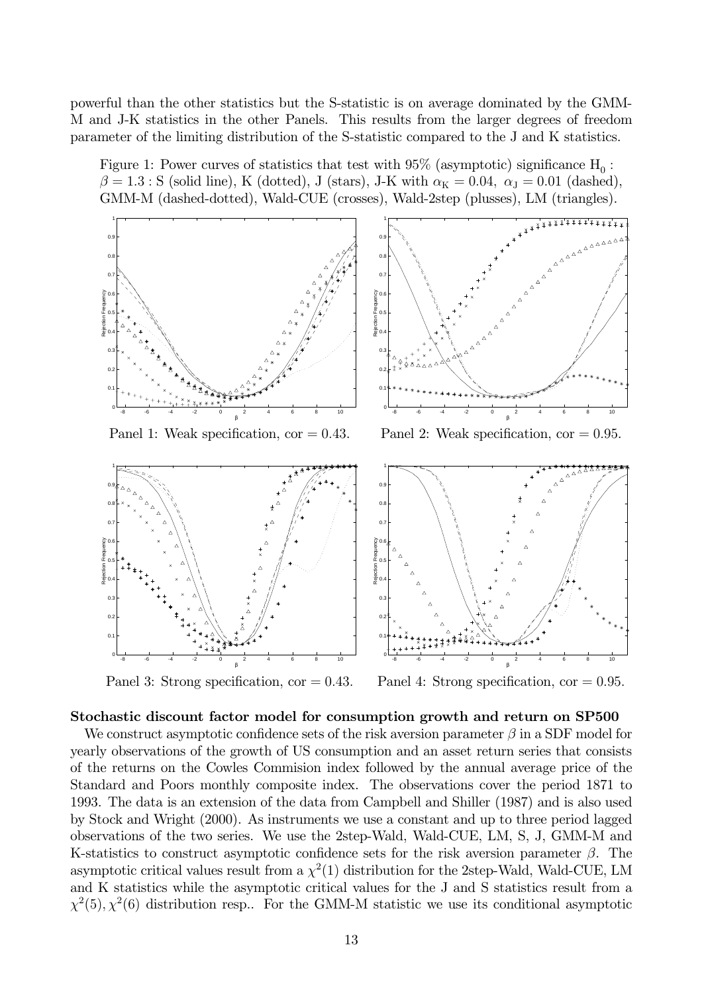powerful than the other statistics but the S-statistic is on average dominated by the GMM-M and J-K statistics in the other Panels. This results from the larger degrees of freedom parameter of the limiting distribution of the S-statistic compared to the J and K statistics.

Figure 1: Power curves of statistics that test with 95% (asymptotic) significance  $\mathrm{H}_0$ :  $\beta = 1.3$ : S (solid line), K (dotted), J (stars), J-K with  $\alpha_{\rm K} = 0.04$ ,  $\alpha_{\rm J} = 0.01$  (dashed),  $\Gamma$  GMM-M (dashed-dotted), Wald-CUE (crosses), Wald-2step (plusses), LM (triangles),



Panel 3: Strong specification, cor =



## Stochastic discount factor model for consumption growth and return on SP500

We construct asymptotic confidence sets of the risk aversion parameter  $\beta$  in a SDF model for vearly observations of the growth of US consumption and an asset return series that consists of the returns on the Cowles Commission index followed by the annual average price of the Standard and Poors monthly composite index. The observations cover the period 1871 to 1993. The data is an extension of the data from Campbell and Shiller  $(1987)$  and is also used by Stock and Wright  $(2000)$ . As instruments we use a constant and up to three period lagged observations of the two series. We use the 2step-Wald, Wald-CUE, LM, S, J, GMM-M and K-statistics to construct asymptotic confidence sets for the risk aversion parameter  $\beta$ . The asymptotic critical values result from a  $\chi^2(1)$  distribution for the 2step-Wald, Wald-CUE, LM and K statistics while the asymptotic critical values for the J and S statistics result from a  $\chi^2(5), \chi^2(6)$  distribution resp.. For the GMM-M statistic we use its conditional asymptotic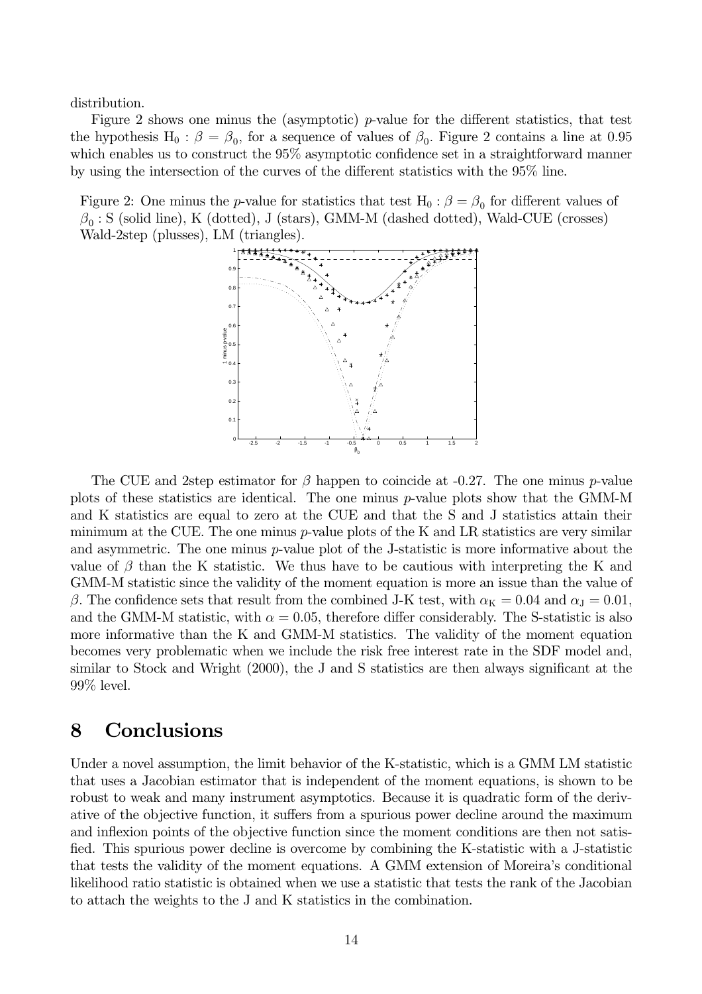distribution.

Figure 2 shows one minus the (asymptotic)  $p$ -value for the different statistics, that test the hypothesis H<sub>0</sub>:  $\beta = \beta_0$ , for a sequence of values of  $\beta_0$ . Figure 2 contains a line at 0.95 which enables us to construct the  $95\%$  asymptotic confidence set in a straightforward manner by using the intersection of the curves of the different statistics with the 95% line.

Figure 2: One minus the p-value for statistics that test  $H_0$ :  $\beta = \beta_0$  for different values of  $\beta_0$ : S (solid line), K (dotted), J (stars), GMM-M (dashed dotted), Wald-CUE (crosses) Wald-2step (plusses), LM (triangles).



The CUE and 2step estimator for  $\beta$  happen to coincide at -0.27. The one minus p-value plots of these statistics are identical. The one minus  $p$ -value plots show that the GMM-M and K statistics are equal to zero at the CUE and that the S and J statistics attain their minimum at the CUE. The one minus  $p$ -value plots of the K and LR statistics are very similar and asymmetric. The one minus  $p$ -value plot of the J-statistic is more informative about the value of  $\beta$  than the K statistic. We thus have to be cautious with interpreting the K and GMM-M statistic since the validity of the moment equation is more an issue than the value of  $\beta$ . The confidence sets that result from the combined J-K test, with  $\alpha_K = 0.04$  and  $\alpha_J = 0.01$ , and the GMM-M statistic, with  $\alpha = 0.05$ , therefore differ considerably. The S-statistic is also more informative than the K and GMM-M statistics. The validity of the moment equation becomes very problematic when we include the risk free interest rate in the SDF model and, similar to Stock and Wright (2000), the J and S statistics are then always significant at the  $99\%$  level.

#### Conclusions 8

Under a novel assumption, the limit behavior of the K-statistic, which is a GMM LM statistic that uses a Jacobian estimator that is independent of the moment equations, is shown to be robust to weak and many instrument asymptotics. Because it is quadratic form of the derivative of the objective function, it suffers from a spurious power decline around the maximum and inflexion points of the objective function since the moment conditions are then not satisfied. This spurious power decline is overcome by combining the K-statistic with a J-statistic that tests the validity of the moment equations. A GMM extension of Moreira's conditional likelihood ratio statistic is obtained when we use a statistic that tests the rank of the Jacobian to attach the weights to the J and K statistics in the combination.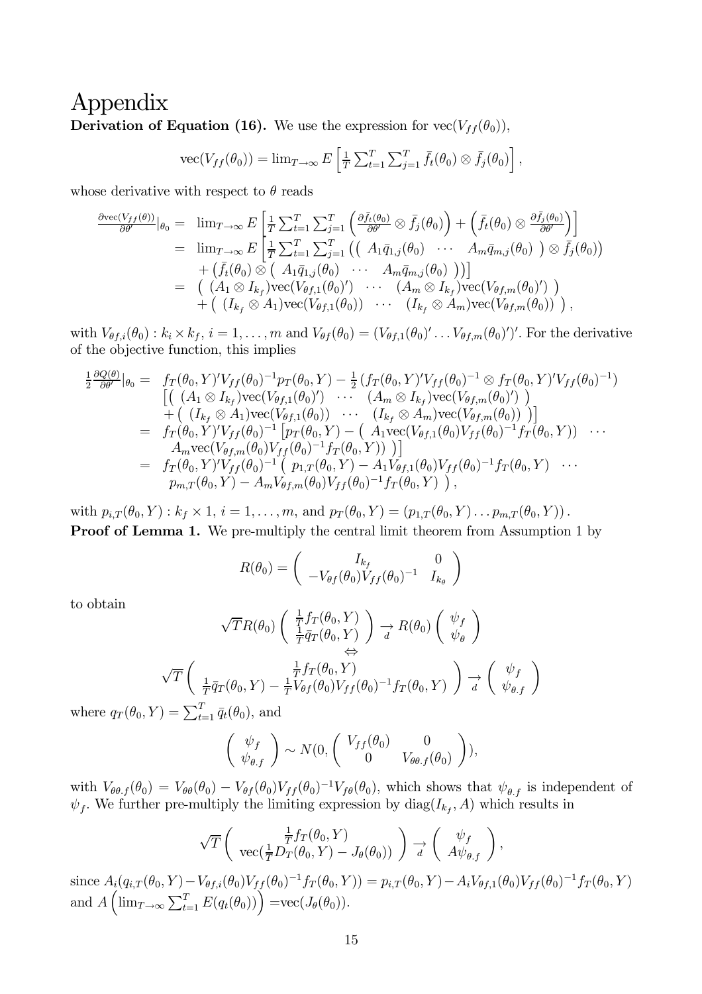## Appendix **Derivation of Equation (16).** We use the expression for  $\text{vec}(V_{ff}(\theta_0))$ ,

$$
\text{vec}(V_{ff}(\theta_0)) = \lim_{T \to \infty} E\left[\frac{1}{T} \sum_{t=1}^T \sum_{j=1}^T \bar{f}_t(\theta_0) \otimes \bar{f}_j(\theta_0)\right],
$$

whose derivative with respect to  $\theta$  reads

$$
\frac{\partial \text{vec}(V_{ff}(\theta))}{\partial \theta'}|_{\theta_0} = \lim_{T \to \infty} E\left[\frac{1}{T} \sum_{t=1}^T \sum_{j=1}^T \left(\frac{\partial \bar{f}_t(\theta_0)}{\partial \theta'} \otimes \bar{f}_j(\theta_0)\right) + \left(\bar{f}_t(\theta_0) \otimes \frac{\partial \bar{f}_j(\theta_0)}{\partial \theta'}\right)\right]
$$
\n
$$
= \lim_{T \to \infty} E\left[\frac{1}{T} \sum_{t=1}^T \sum_{j=1}^T \left(\left(A_1 \bar{q}_{1,j}(\theta_0) \cdots A_m \bar{q}_{m,j}(\theta_0)\right) \otimes \bar{f}_j(\theta_0)\right) + \left(\bar{f}_t(\theta_0) \otimes \left(A_1 \bar{q}_{1,j}(\theta_0) \cdots A_m \bar{q}_{m,j}(\theta_0)\right)\right)\right]
$$
\n
$$
= \left(\left(A_1 \otimes I_{k_f}\right) \text{vec}(V_{\theta f,1}(\theta_0)') \cdots \left(A_m \otimes I_{k_f}\right) \text{vec}(V_{\theta f,m}(\theta_0)')\right) + \left(\left(I_{k_f} \otimes A_1\right) \text{vec}(V_{\theta f,1}(\theta_0)) \cdots \left(I_{k_f} \otimes A_m\right) \text{vec}(V_{\theta f,m}(\theta_0))\right),
$$

with  $V_{\theta f,i}(\theta_0): k_i \times k_f$ ,  $i = 1, \ldots, m$  and  $V_{\theta f}(\theta_0) = (V_{\theta f,1}(\theta_0)' \ldots V_{\theta f,m}(\theta_0)')'$ . For the derivative of the objective function, this implies

$$
\frac{1}{2} \frac{\partial Q(\theta)}{\partial \theta'}|_{\theta_0} = f_T(\theta_0, Y)' V_{ff}(\theta_0)^{-1} p_T(\theta_0, Y) - \frac{1}{2} (f_T(\theta_0, Y)' V_{ff}(\theta_0)^{-1} \otimes f_T(\theta_0, Y)' V_{ff}(\theta_0)^{-1})
$$
\n
$$
\begin{aligned}\n&\left[ \left( (A_1 \otimes I_{k_f}) \text{vec}(V_{\theta f,1}(\theta_0)') \cdots (A_m \otimes I_{k_f}) \text{vec}(V_{\theta f,m}(\theta_0)') \right) \right. \\
&+ \left( (I_{k_f} \otimes A_1) \text{vec}(V_{\theta f,1}(\theta_0)) \cdots (I_{k_f} \otimes A_m) \text{vec}(V_{\theta f,m}(\theta_0)) \right) \right] \\
&= f_T(\theta_0, Y)' V_{ff}(\theta_0)^{-1} \left[ p_T(\theta_0, Y) - (A_1 \text{vec}(V_{\theta f,1}(\theta_0) V_{ff}(\theta_0)^{-1} f_T(\theta_0, Y)) \right. \\
&\left. A_m \text{vec}(V_{\theta f,m}(\theta_0) V_{ff}(\theta_0)^{-1} f_T(\theta_0, Y)) \right) \right] \\
&= f_T(\theta_0, Y)' V_{ff}(\theta_0)^{-1} \left( p_{1,T}(\theta_0, Y) - A_1 V_{\theta f,1}(\theta_0) V_{ff}(\theta_0)^{-1} f_T(\theta_0, Y) \right. \\
&\left. p_{m,T}(\theta_0, Y) - A_m V_{\theta f,m}(\theta_0) V_{ff}(\theta_0)^{-1} f_T(\theta_0, Y) \right),\n\end{aligned}
$$

with  $p_{i,T}(\theta_0, Y) : k_f \times 1, i = 1, ..., m$ , and  $p_T(\theta_0, Y) = (p_{1,T}(\theta_0, Y) ... p_{m,T}(\theta_0, Y))$ . **Proof of Lemma 1.** We pre-multiply the central limit theorem from Assumption 1 by

$$
R(\theta_0) = \begin{pmatrix} I_{k_f} & 0\\ -V_{\theta f}(\theta_0) V_{ff}(\theta_0)^{-1} & I_{k_\theta} \end{pmatrix}
$$

to obtain

and  $A\left(\lim_{T}$ 

$$
\sqrt{T}R(\theta_0) \begin{pmatrix} \frac{1}{T}f_T(\theta_0, Y) \\ \frac{1}{T}\bar{q}_T(\theta_0, Y) \end{pmatrix} \xrightarrow[d]{} R(\theta_0) \begin{pmatrix} \psi_f \\ \psi_\theta \end{pmatrix}
$$

$$
\sqrt{T} \begin{pmatrix} \frac{1}{T}\bar{q}_T(\theta_0, Y) \\ \frac{1}{T}\bar{q}_T(\theta_0, Y) - \frac{1}{T}V_{\theta f}(\theta_0)V_{ff}(\theta_0)^{-1}f_T(\theta_0, Y) \end{pmatrix} \xrightarrow[d]{} \begin{pmatrix} \psi_f \\ \psi_{\theta,f} \end{pmatrix}
$$

where  $q_T(\theta_0, Y) = \sum_{t=1}^T \bar{q}_t(\theta_0)$ , and

$$
\begin{pmatrix} \psi_f \\ \psi_{\theta.f} \end{pmatrix} \sim N(0, \begin{pmatrix} V_{ff}(\theta_0) & 0 \\ 0 & V_{\theta\theta.f}(\theta_0) \end{pmatrix}),
$$

with  $V_{\theta\theta,f}(\theta_0) = V_{\theta\theta}(\theta_0) - V_{\theta f}(\theta_0)V_{ff}(\theta_0)^{-1}V_{f\theta}(\theta_0)$ , which shows that  $\psi_{\theta,f}$  is independent of  $\psi_f$ . We further pre-multiply the limiting expression by  $diag(I_{k_f}, A)$  which results in

$$
\sqrt{T}\left(\begin{array}{c} \frac{1}{T}f_T(\theta_0, Y) \\ \text{vec}(\frac{1}{T}D_T(\theta_0, Y) - J_{\theta}(\theta_0)) \end{array}\right) \underset{d}{\rightarrow} \left(\begin{array}{c} \psi_f \\ A\psi_{\theta,f} \end{array}\right),
$$
  
since  $A_i(q_{i,T}(\theta_0, Y) - V_{\theta f,i}(\theta_0)V_{ff}(\theta_0)^{-1}f_T(\theta_0, Y)) = p_{i,T}(\theta_0, Y) - A_iV_{\theta f,1}(\theta_0)V_{ff}(\theta_0)^{-1}f_T(\theta_0, Y)$   
and  $A\left(\lim_{T\to\infty}\sum_{t=1}^T E(q_t(\theta_0))\right) = \text{vec}(J_{\theta}(\theta_0)).$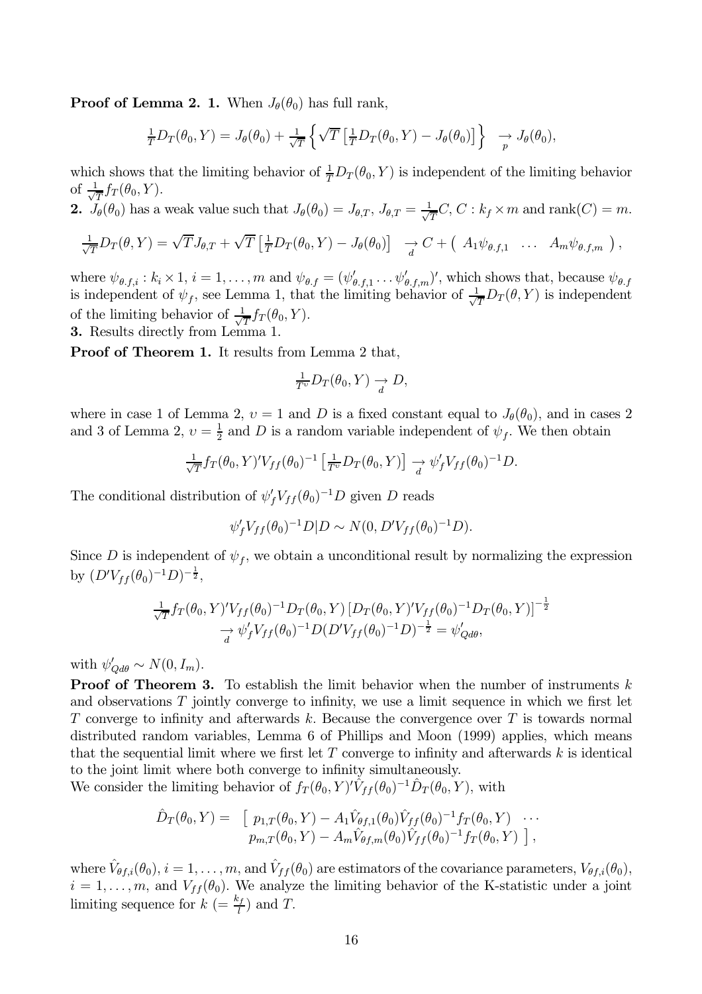**Proof of Lemma 2. 1.** When  $J_{\theta}(\theta_0)$  has full rank,

$$
\frac{1}{T}D_T(\theta_0, Y) = J_{\theta}(\theta_0) + \frac{1}{\sqrt{T}} \left\{ \sqrt{T} \left[ \frac{1}{T} D_T(\theta_0, Y) - J_{\theta}(\theta_0) \right] \right\} \longrightarrow J_{\theta}(\theta_0),
$$

which shows that the limiting behavior of  $\frac{1}{T}D_T(\theta_0, Y)$  is independent of the limiting behavior of  $\frac{1}{\sqrt{T}} f_T(\theta_0, Y)$ .

2.  $J_{\theta}(\theta_0)$  has a weak value such that  $J_{\theta}(\theta_0) = J_{\theta,T}$ ,  $J_{\theta,T} = \frac{1}{\sqrt{T}}C$ ,  $C: k_f \times m$  and rank $(C) = m$ .

$$
\frac{1}{\sqrt{T}}D_T(\theta,Y) = \sqrt{T}J_{\theta,T} + \sqrt{T}\left[\frac{1}{T}D_T(\theta_0,Y) - J_{\theta}(\theta_0)\right] \rightarrow C + \left(A_1\psi_{\theta,f,1} \dots A_m\psi_{\theta,f,m}\right),
$$

where  $\psi_{\theta,f,i}: k_i \times 1, i = 1,\ldots,m$  and  $\psi_{\theta,f} = (\psi'_{\theta,f,1} \ldots \psi'_{\theta,f,m})'$ , which shows that, because  $\psi_{\theta,f}$  is independent of  $\psi_f$ , see Lemma 1, that the limiting behavior of  $\frac{1}{\sqrt{T}}D_T(\theta, Y)$  is independent of the limiting behavior of  $\frac{1}{\sqrt{T}} f_T(\theta_0, Y)$ .

**3.** Results directly from Lemma 1.

**Proof of Theorem 1.** It results from Lemma 2 that,

$$
\frac{1}{T^v}D_T(\theta_0, Y) \to D,
$$

where in case 1 of Lemma 2,  $v = 1$  and D is a fixed constant equal to  $J_{\theta}(\theta_0)$ , and in cases 2 and 3 of Lemma 2,  $v = \frac{1}{2}$  and D is a random variable independent of  $\psi_f$ . We then obtain

$$
\frac{1}{\sqrt{T}} f_T(\theta_0, Y)' V_{ff}(\theta_0)^{-1} \left[ \frac{1}{T^{\upsilon}} D_T(\theta_0, Y) \right] \to \psi'_f V_{ff}(\theta_0)^{-1} D.
$$

The conditional distribution of  $\psi_f' V_{ff}(\theta_0)^{-1} D$  given D reads

$$
\psi'_f V_{ff}(\theta_0)^{-1} D | D \sim N(0, D' V_{ff}(\theta_0)^{-1} D).
$$

Since D is independent of  $\psi_f$ , we obtain a unconditional result by normalizing the expression by  $(D'V_{ff}(\theta_0)^{-1}D)^{-\frac{1}{2}}$ ,

$$
\frac{1}{\sqrt{T}} f_T(\theta_0, Y)' V_{ff}(\theta_0)^{-1} D_T(\theta_0, Y) [D_T(\theta_0, Y)' V_{ff}(\theta_0)^{-1} D_T(\theta_0, Y)]^{-\frac{1}{2}} \n\rightarrow \psi'_f V_{ff}(\theta_0)^{-1} D (D' V_{ff}(\theta_0)^{-1} D)^{-\frac{1}{2}} = \psi'_{Qd\theta},
$$

with  $\psi'_{\mathcal{O}d\theta} \sim N(0, I_m)$ .

**Proof of Theorem 3.** To establish the limit behavior when the number of instruments  $k$ and observations  $T$  jointly converge to infinity, we use a limit sequence in which we first let T converge to infinity and afterwards k. Because the convergence over T is towards normal distributed random variables, Lemma 6 of Phillips and Moon (1999) applies, which means that the sequential limit where we first let  $T$  converge to infinity and afterwards  $k$  is identical to the joint limit where both converge to infinity simultaneously.

We consider the limiting behavior of  $f_T(\theta_0, Y)' \hat{V}_{ff}(\theta_0)^{-1} \hat{D}_T(\theta_0, Y)$ , with

$$
\hat{D}_T(\theta_0, Y) = \begin{bmatrix} p_{1,T}(\theta_0, Y) - A_1 \hat{V}_{\theta f,1}(\theta_0) \hat{V}_{ff}(\theta_0)^{-1} f_T(\theta_0, Y) & \cdots \\ p_{m,T}(\theta_0, Y) - A_m \hat{V}_{\theta f,m}(\theta_0) \hat{V}_{ff}(\theta_0)^{-1} f_T(\theta_0, Y) \end{bmatrix},
$$

where  $\hat{V}_{\theta f,i}(\theta_0), i = 1, \ldots, m$ , and  $\hat{V}_{ff}(\theta_0)$  are estimators of the covariance parameters,  $V_{\theta f,i}(\theta_0)$ ,  $i=1,\ldots,m$ , and  $V_{ff}(\theta_0)$ . We analyze the limiting behavior of the K-statistic under a joint limiting sequence for  $k = \frac{k_f}{l}$  and T.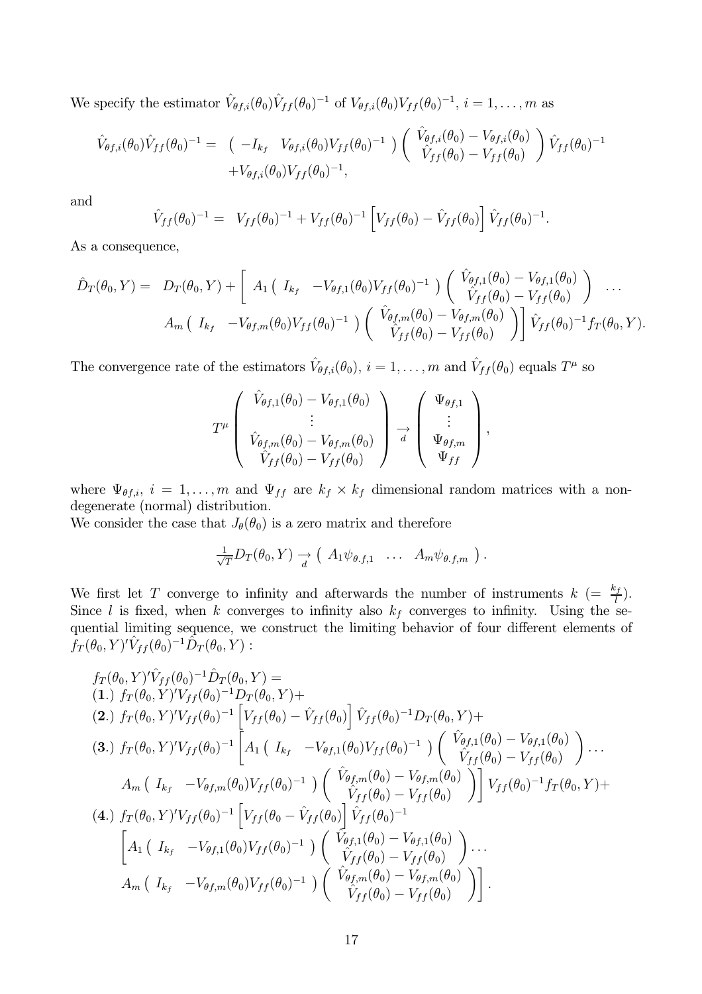We specify the estimator  $\hat{V}_{\theta f,i}(\theta_0)\hat{V}_{ff}(\theta_0)^{-1}$  of  $V_{\theta f,i}(\theta_0)V_{ff}(\theta_0)^{-1}$ ,  $i=1,\ldots,m$  as

$$
\hat{V}_{\theta f,i}(\theta_0)\hat{V}_{ff}(\theta_0)^{-1} = \left(-I_{k_f} V_{\theta f,i}(\theta_0)V_{ff}(\theta_0)^{-1}\right) \left(\begin{array}{c} \hat{V}_{\theta f,i}(\theta_0) - V_{\theta f,i}(\theta_0) \\ \hat{V}_{ff}(\theta_0) - V_{ff}(\theta_0) \end{array}\right) \hat{V}_{ff}(\theta_0)^{-1} + V_{\theta f,i}(\theta_0)V_{ff}(\theta_0)^{-1},
$$

and

$$
\hat{V}_{ff}(\theta_0)^{-1} = V_{ff}(\theta_0)^{-1} + V_{ff}(\theta_0)^{-1} \left[ V_{ff}(\theta_0) - \hat{V}_{ff}(\theta_0) \right] \hat{V}_{ff}(\theta_0)^{-1}
$$

As a consequence,

$$
\hat{D}_T(\theta_0, Y) = D_T(\theta_0, Y) + \left[ A_1 \left( I_{k_f} - V_{\theta f, 1}(\theta_0) V_{ff}(\theta_0)^{-1} \right) \left( \begin{array}{c} \hat{V}_{\theta f, 1}(\theta_0) - V_{\theta f, 1}(\theta_0) \\ \hat{V}_{ff}(\theta_0) - V_{ff}(\theta_0) \end{array} \right) \cdots A_m \left( I_{k_f} - V_{\theta f, m}(\theta_0) V_{ff}(\theta_0)^{-1} \right) \left( \begin{array}{c} \hat{V}_{\theta f, m}(\theta_0) - V_{\theta f, m}(\theta_0) \\ \hat{V}_{ff}(\theta_0) - V_{ff}(\theta_0) \end{array} \right) \right] \hat{V}_{ff}(\theta_0)^{-1} f_T(\theta_0, Y).
$$

The convergence rate of the estimators  $\hat{V}_{\theta f,i}(\theta_0), i = 1, ..., m$  and  $\hat{V}_{ff}(\theta_0)$  equals  $T^{\mu}$  so

$$
T^{\mu}\left(\begin{array}{c}\hat{V}_{\theta f,1}(\theta_{0})-V_{\theta f,1}(\theta_{0})\\\vdots\\ \hat{V}_{\theta f,m}(\theta_{0})-V_{\theta f,m}(\theta_{0})\\ \hat{V}_{ff}(\theta_{0})-V_{ff}(\theta_{0})\end{array}\right)\underset{d}{\rightarrow}\left(\begin{array}{c}\Psi_{\theta f,1}\\ \vdots\\ \Psi_{\theta f,m}\\ \Psi_{ff}\end{array}\right),
$$

where  $\Psi_{\theta f,i}$ ,  $i = 1,...,m$  and  $\Psi_{ff}$  are  $k_f \times k_f$  dimensional random matrices with a nondegenerate (normal) distribution.

We consider the case that  $J_{\theta}(\theta_0)$  is a zero matrix and therefore

$$
\frac{1}{\sqrt{T}}D_T(\theta_0, Y) \rightarrow (A_1 \psi_{\theta, f, 1} \ldots A_m \psi_{\theta, f, m}).
$$

We first let T converge to infinity and afterwards the number of instruments  $k = \frac{k_f}{l}$ . Since l is fixed, when k converges to infinity also  $k_f$  converges to infinity. Using the sequential limiting sequence, we construct the limiting behavior of four different elements of  $f_T(\theta_0, Y)' \hat{V}_{ff}(\theta_0)^{-1} \hat{D}_T(\theta_0, Y)$ :

$$
f_T(\theta_0, Y)^{\prime} \hat{V}_{ff}(\theta_0)^{-1} \hat{D}_T(\theta_0, Y) =
$$
\n(1.)  $f_T(\theta_0, Y)^{\prime} V_{ff}(\theta_0)^{-1} D_T(\theta_0, Y) +$   
\n(2.)  $f_T(\theta_0, Y)^{\prime} V_{ff}(\theta_0)^{-1} \left[ V_{ff}(\theta_0) - \hat{V}_{ff}(\theta_0) \right] \hat{V}_{ff}(\theta_0)^{-1} D_T(\theta_0, Y) +$   
\n(3.)  $f_T(\theta_0, Y)^{\prime} V_{ff}(\theta_0)^{-1} \left[ A_1 \left( I_{k_f} - V_{\theta f, 1}(\theta_0) V_{ff}(\theta_0)^{-1} \right) \left( \begin{array}{c} \hat{V}_{\theta f, 1}(\theta_0) - V_{\theta f, 1}(\theta_0) \\ \hat{V}_{ff}(\theta_0) - V_{ff}(\theta_0) \end{array} \right) \dots$   
\n
$$
A_m \left( I_{k_f} - V_{\theta f, m}(\theta_0) V_{ff}(\theta_0)^{-1} \right) \left( \begin{array}{c} \hat{V}_{\theta f, m}(\theta_0) - V_{\theta f, m}(\theta_0) \\ \hat{V}_{ff}(\theta_0) - V_{ff}(\theta_0) \end{array} \right) \right] V_{ff}(\theta_0)^{-1} f_T(\theta_0, Y) +
$$
\n(4.)  $f_T(\theta_0, Y)^{\prime} V_{ff}(\theta_0)^{-1} \left[ V_{ff}(\theta_0 - \hat{V}_{ff}(\theta_0) \right] \hat{V}_{ff}(\theta_0)^{-1}$   
\n
$$
\left[ A_1 \left( I_{k_f} - V_{\theta f, 1}(\theta_0) V_{ff}(\theta_0)^{-1} \right) \left( \begin{array}{c} \hat{V}_{\theta f, 1}(\theta_0) - V_{\theta f, 1}(\theta_0) \\ \hat{V}_{ff}(\theta_0) - V_{ff}(\theta_0) \end{array} \right) \dots \right]
$$
  
\n
$$
A_m \left( I_{k_f} - V_{\theta f, m}(\theta_0) V_{ff}(\theta_0)^{-1} \right) \left( \begin{array}{c} \hat{V}_{\theta f, m}(\theta_0) - V_{
$$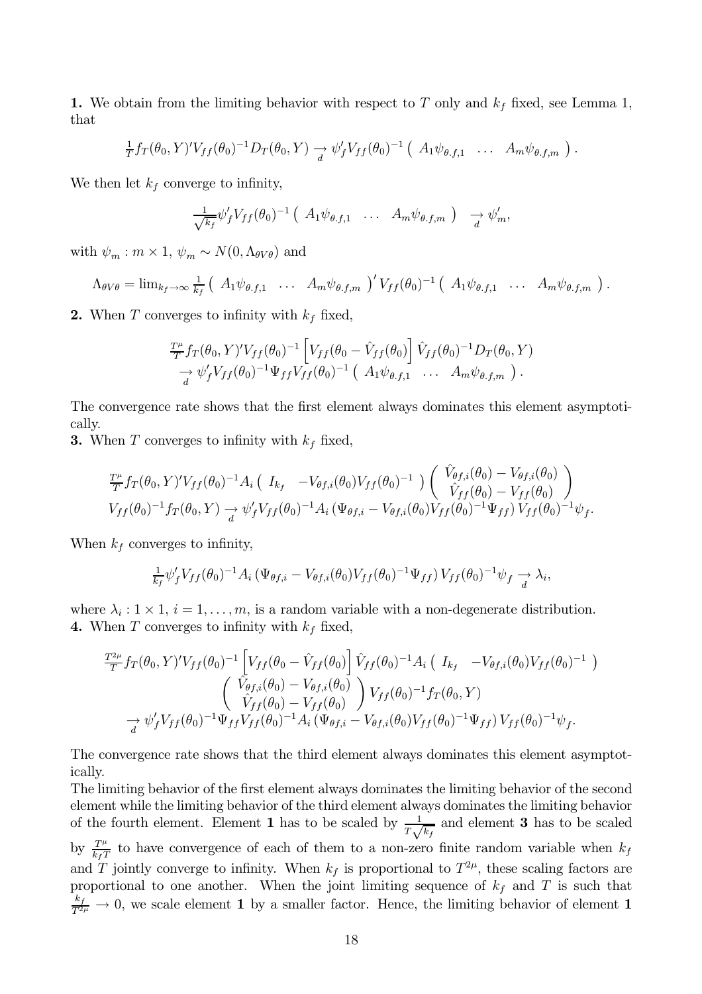1. We obtain from the limiting behavior with respect to T only and  $k_f$  fixed, see Lemma 1, that

$$
\frac{1}{T}f_T(\theta_0, Y)'V_{ff}(\theta_0)^{-1}D_T(\theta_0, Y) \xrightarrow[d]{} \psi'_fV_{ff}(\theta_0)^{-1} (A_1\psi_{\theta,f,1} \ldots A_m\psi_{\theta,f,m}).
$$

We then let  $k_f$  converge to infinity,

$$
\frac{1}{\sqrt{k_f}} \psi'_f V_{ff}(\theta_0)^{-1} \left( A_1 \psi_{\theta,f,1} \ldots A_m \psi_{\theta,f,m} \right) \rightarrow \psi'_m,
$$

with  $\psi_m : m \times 1$ ,  $\psi_m \sim N(0, \Lambda_{\theta V \theta})$  and

$$
\Lambda_{\theta V\theta} = \lim_{k_f \to \infty} \frac{1}{k_f} \left( A_1 \psi_{\theta,f,1} \quad \ldots \quad A_m \psi_{\theta,f,m} \right)' V_{ff}(\theta_0)^{-1} \left( A_1 \psi_{\theta,f,1} \quad \ldots \quad A_m \psi_{\theta,f,m} \right).
$$

2. When T converges to infinity with  $k_f$  fixed,

$$
\frac{T^{\mu}}{T} f_T(\theta_0, Y)' V_{ff}(\theta_0)^{-1} \left[ V_{ff}(\theta_0 - \hat{V}_{ff}(\theta_0)) \right] \hat{V}_{ff}(\theta_0)^{-1} D_T(\theta_0, Y) \n\rightarrow \psi'_f V_{ff}(\theta_0)^{-1} \Psi_{ff} V_{ff}(\theta_0)^{-1} (A_1 \psi_{\theta, f, 1} \dots A_m \psi_{\theta, f, m}).
$$

The convergence rate shows that the first element always dominates this element asymptotically.

**3.** When T converges to infinity with  $k_f$  fixed,

$$
\frac{T^{\mu}}{T} f_T(\theta_0, Y)' V_{ff}(\theta_0)^{-1} A_i \left( I_{k_f} - V_{\theta f,i}(\theta_0) V_{ff}(\theta_0)^{-1} \right) \left( \begin{array}{c} V_{\theta f,i}(\theta_0) - V_{\theta f,i}(\theta_0) \\ \hat{V}_{ff}(\theta_0) - V_{ff}(\theta_0) \end{array} \right) V_{ff}(\theta_0)^{-1} f_T(\theta_0, Y) \rightarrow \psi'_f V_{ff}(\theta_0)^{-1} A_i \left( \Psi_{\theta f,i} - V_{\theta f,i}(\theta_0) V_{ff}(\theta_0)^{-1} \Psi_{ff} \right) V_{ff}(\theta_0)^{-1} \psi_f
$$

When  $k_f$  converges to infinity,

$$
\frac{1}{k_f} \psi'_f V_{ff}(\theta_0)^{-1} A_i \left( \Psi_{\theta f,i} - V_{\theta f,i}(\theta_0) V_{ff}(\theta_0)^{-1} \Psi_{ff} \right) V_{ff}(\theta_0)^{-1} \psi_f \to \lambda_i,
$$

where  $\lambda_i : 1 \times 1, i = 1, \ldots, m$ , is a random variable with a non-degenerate distribution. 4. When T converges to infinity with  $k_f$  fixed,

$$
\frac{T_{T}^{2\mu}}{T} f_{T}(\theta_{0}, Y)' V_{ff}(\theta_{0})^{-1} \left[ V_{ff}(\theta_{0} - \hat{V}_{ff}(\theta_{0}) \right] \hat{V}_{ff}(\theta_{0})^{-1} A_{i} \left( I_{k_{f}} - V_{\theta f,i}(\theta_{0}) V_{ff}(\theta_{0})^{-1} \right) \newline \left( \begin{array}{c} \hat{V}_{\theta f,i}(\theta_{0}) - V_{\theta f,i}(\theta_{0}) \\ \hat{V}_{ff}(\theta_{0}) - V_{ff}(\theta_{0}) \end{array} \right) V_{ff}(\theta_{0})^{-1} f_{T}(\theta_{0}, Y) \newline \rightarrow \psi'_{f} V_{ff}(\theta_{0})^{-1} \Psi_{ff} V_{ff}(\theta_{0})^{-1} A_{i} \left( \Psi_{\theta f,i} - V_{\theta f,i}(\theta_{0}) V_{ff}(\theta_{0})^{-1} \Psi_{ff} \right) V_{ff}(\theta_{0})^{-1} \psi_{f}.
$$

The convergence rate shows that the third element always dominates this element asymptotically.

The limiting behavior of the first element always dominates the limiting behavior of the second element while the limiting behavior of the third element always dominates the limiting behavior of the fourth element. Element 1 has to be scaled by  $\frac{1}{T\sqrt{k_f}}$  and element 3 has to be scaled by  $\frac{T^{\mu}}{k_f T}$  to have convergence of each of them to a non-zero finite random variable when  $k_f$ and T jointly converge to infinity. When  $k_f$  is proportional to  $T^{2\mu}$ , these scaling factors are proportional to one another. When the joint limiting sequence of  $k_f$  and T is such that  $\frac{k_f}{T^{2\mu}} \to 0$ , we scale element 1 by a smaller factor. Hence, the limiting behavior of element 1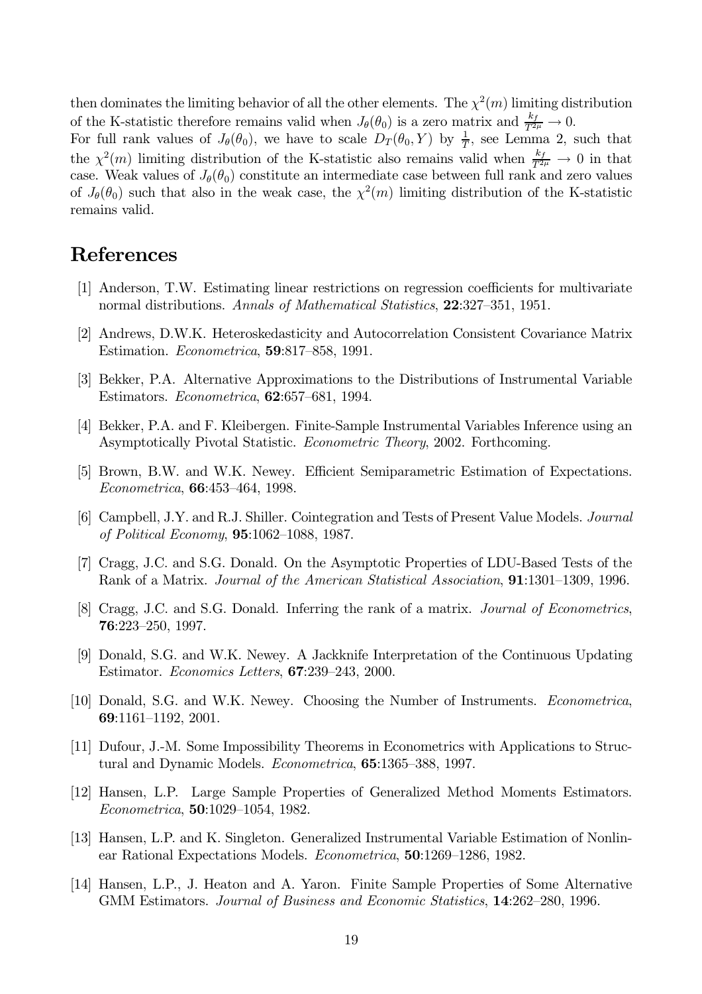then dominates the limiting behavior of all the other elements. The  $\chi^2(m)$  limiting distribution of the K-statistic therefore remains valid when  $J_{\theta}(\theta_0)$  is a zero matrix and  $\frac{k_f}{T^{2\mu}} \to 0$ .

For full rank values of  $J_{\theta}(\theta_0)$ , we have to scale  $D_T(\theta_0, Y)$  by  $\frac{1}{T}$ , see Lemma 2, such that the  $\chi^2(m)$  limiting distribution of the K-statistic also remains valid when  $\frac{k_f}{T^{2\mu}} \to 0$  in that case. Weak values of  $J_{\theta}(\theta_0)$  constitute an intermediate case between full rank and zero values of  $J_{\theta}(\theta_0)$  such that also in the weak case, the  $\chi^2(m)$  limiting distribution of the K-statistic remains valid.

## **References**

- [1] Anderson, T.W. Estimating linear restrictions on regression coefficients for multivariate normal distributions. Annals of Mathematical Statistics, 22:327-351, 1951.
- [2] Andrews, D.W.K. Heteroskedasticity and Autocorrelation Consistent Covariance Matrix Estimation. *Econometrica*, **59**:817–858, 1991.
- [3] Bekker, P.A. Alternative Approximations to the Distributions of Instrumental Variable Estimators. *Econometrica*, **62**:657-681, 1994.
- [4] Bekker, P.A. and F. Kleibergen. Finite-Sample Instrumental Variables Inference using an Asymptotically Pivotal Statistic. Econometric Theory, 2002. Forthcoming.
- [5] Brown, B.W. and W.K. Newey. Efficient Semiparametric Estimation of Expectations. *Econometrica*, **66**:453-464, 1998.
- [6] Campbell, J.Y. and R.J. Shiller. Cointegration and Tests of Present Value Models. *Journal* of Political Economy, 95:1062-1088, 1987.
- [7] Cragg, J.C. and S.G. Donald. On the Asymptotic Properties of LDU-Based Tests of the Rank of a Matrix. Journal of the American Statistical Association, **91**:1301–1309, 1996.
- [8] Cragg, J.C. and S.G. Donald. Inferring the rank of a matrix. Journal of Econometrics, 76:223-250, 1997.
- [9] Donald, S.G. and W.K. Newey. A Jackknife Interpretation of the Continuous Updating Estimator. Economics Letters, 67:239-243, 2000.
- [10] Donald, S.G. and W.K. Newey. Choosing the Number of Instruments. *Econometrica*, 69:1161-1192, 2001.
- [11] Dufour, J.-M. Some Impossibility Theorems in Econometrics with Applications to Structural and Dynamic Models. *Econometrica*, **65**:1365–388, 1997.
- [12] Hansen, L.P. Large Sample Properties of Generalized Method Moments Estimators. *Econometrica*, **50**:1029-1054, 1982.
- [13] Hansen, L.P. and K. Singleton. Generalized Instrumental Variable Estimation of Nonlinear Rational Expectations Models. Econometrica, 50:1269-1286, 1982.
- [14] Hansen, L.P., J. Heaton and A. Yaron. Finite Sample Properties of Some Alternative GMM Estimators. Journal of Business and Economic Statistics, 14:262-280, 1996.